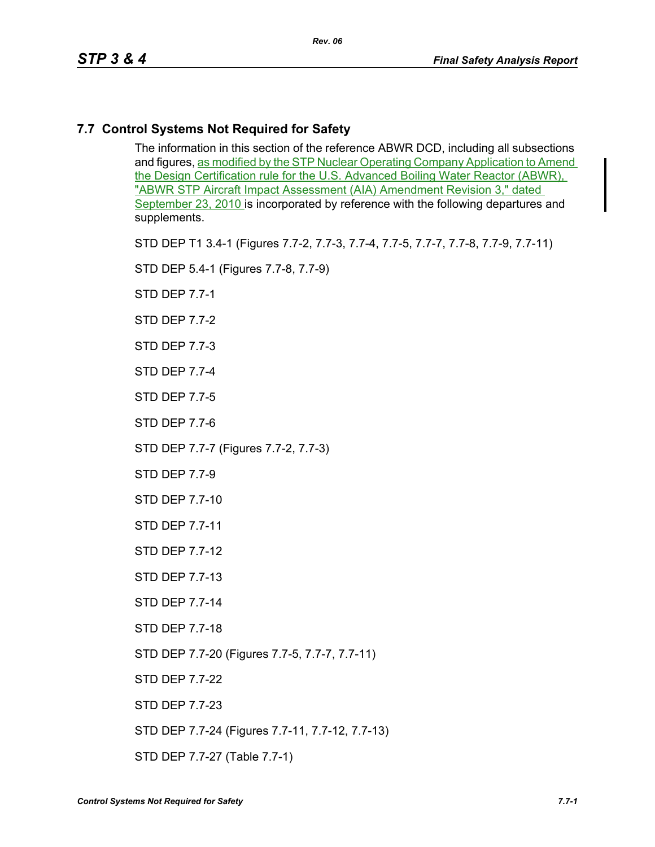# **7.7 Control Systems Not Required for Safety**

The information in this section of the reference ABWR DCD, including all subsections and figures, as modified by the STP Nuclear Operating Company Application to Amend the Design Certification rule for the U.S. Advanced Boiling Water Reactor (ABWR), "ABWR STP Aircraft Impact Assessment (AIA) Amendment Revision 3," dated September 23, 2010 is incorporated by reference with the following departures and supplements.

STD DEP T1 3.4-1 (Figures 7.7-2, 7.7-3, 7.7-4, 7.7-5, 7.7-7, 7.7-8, 7.7-9, 7.7-11)

STD DEP 5.4-1 (Figures 7.7-8, 7.7-9)

STD DEP 7.7-1

STD DEP 7.7-2

STD DEP 7.7-3

STD DEP 7.7-4

STD DEP 7.7-5

STD DEP 7.7-6

STD DEP 7.7-7 (Figures 7.7-2, 7.7-3)

STD DEP 7.7-9

STD DEP 7.7-10

STD DEP 7.7-11

STD DEP 7.7-12

STD DEP 7.7-13

STD DEP 7.7-14

STD DEP 7.7-18

STD DEP 7.7-20 (Figures 7.7-5, 7.7-7, 7.7-11)

STD DEP 7.7-22

STD DEP 7.7-23

STD DEP 7.7-24 (Figures 7.7-11, 7.7-12, 7.7-13)

STD DEP 7.7-27 (Table 7.7-1)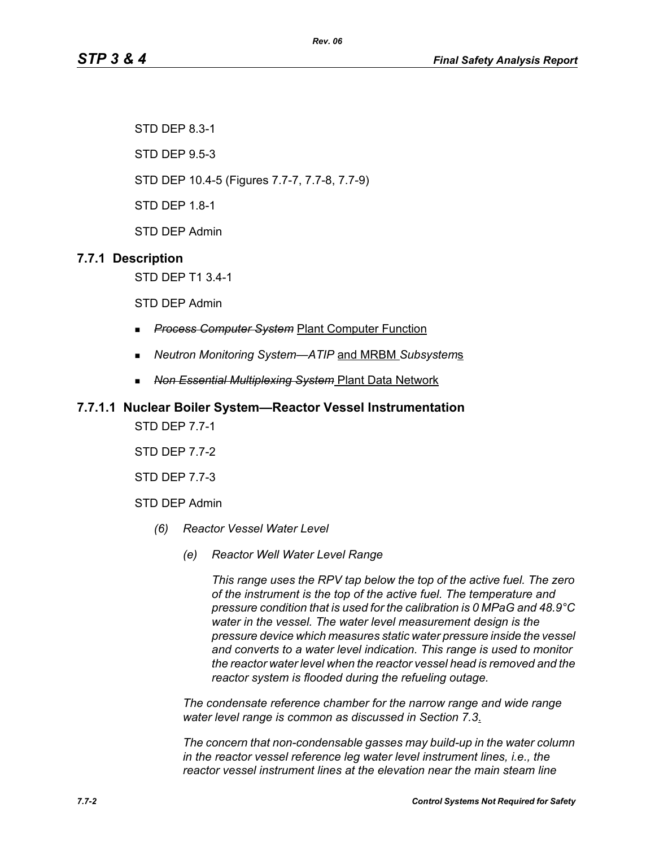STD DEP 8.3-1

STD DEP 9.5-3

STD DEP 10.4-5 (Figures 7.7-7, 7.7-8, 7.7-9)

STD DEP 1.8-1

STD DEP Admin

# **7.7.1 Description**

STD DEP T1 3.4-1

STD DEP Admin

- *Process Computer System* Plant Computer Function
- *Neutron Monitoring System—ATIP* and MRBM *Subsystem*s
- *Non Essential Multiplexing System* Plant Data Network

### **7.7.1.1 Nuclear Boiler System—Reactor Vessel Instrumentation**

STD DEP 7.7-1

STD DEP 7.7-2

STD DEP 7.7-3

STD DEP Admin

- *(6) Reactor Vessel Water Level*
	- *(e) Reactor Well Water Level Range*

*This range uses the RPV tap below the top of the active fuel. The zero of the instrument is the top of the active fuel. The temperature and pressure condition that is used for the calibration is 0 MPaG and 48.9°C water in the vessel. The water level measurement design is the pressure device which measures static water pressure inside the vessel and converts to a water level indication. This range is used to monitor the reactor water level when the reactor vessel head is removed and the reactor system is flooded during the refueling outage.*

*The condensate reference chamber for the narrow range and wide range water level range is common as discussed in Section 7.3*.

*The concern that non-condensable gasses may build-up in the water column in the reactor vessel reference leg water level instrument lines, i.e., the reactor vessel instrument lines at the elevation near the main steam line*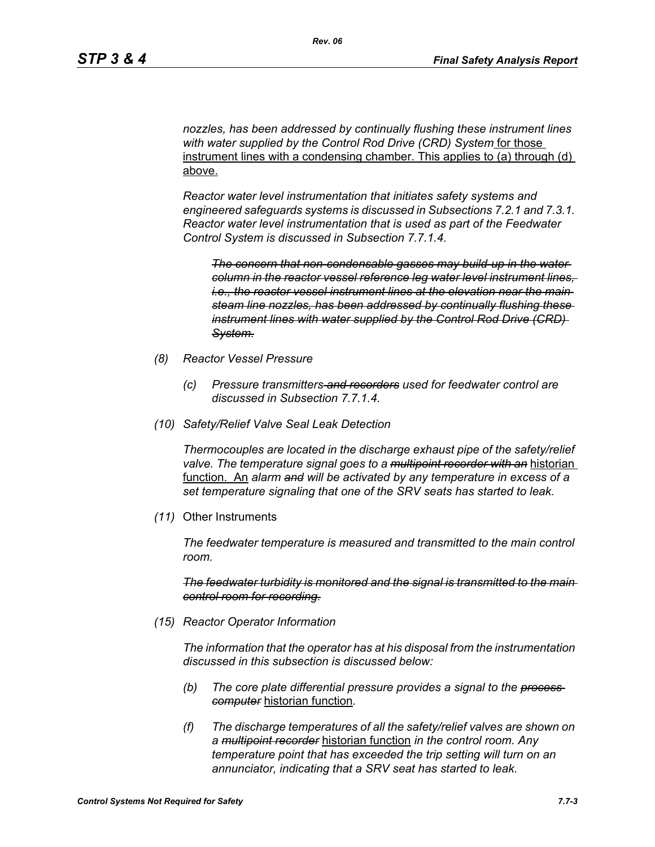*nozzles, has been addressed by continually flushing these instrument lines with water supplied by the Control Rod Drive (CRD) System* for those instrument lines with a condensing chamber. This applies to (a) through (d) above.

*Reactor water level instrumentation that initiates safety systems and engineered safeguards systems is discussed in Subsections 7.2.1 and 7.3.1. Reactor water level instrumentation that is used as part of the Feedwater Control System is discussed in Subsection 7.7.1.4.*

*The concern that non-condensable gasses may build-up in the water column in the reactor vessel reference leg water level instrument lines, i.e., the reactor vessel instrument lines at the elevation near the main steam line nozzles, has been addressed by continually flushing these instrument lines with water supplied by the Control Rod Drive (CRD) System.*

- *(8) Reactor Vessel Pressure*
	- *(c) Pressure transmitters and recorders used for feedwater control are discussed in Subsection 7.7.1.4.*
- *(10) Safety/Relief Valve Seal Leak Detection*

*Thermocouples are located in the discharge exhaust pipe of the safety/relief valve. The temperature signal goes to a multipoint recorder with an* historian function. An *alarm and will be activated by any temperature in excess of a set temperature signaling that one of the SRV seats has started to leak.*

*(11)* Other Instruments

*The feedwater temperature is measured and transmitted to the main control room.*

*The feedwater turbidity is monitored and the signal is transmitted to the main control room for recording.*

*(15) Reactor Operator Information*

*The information that the operator has at his disposal from the instrumentation discussed in this subsection is discussed below:*

- *(b) The core plate differential pressure provides a signal to the process computer* historian function*.*
- *(f) The discharge temperatures of all the safety/relief valves are shown on a multipoint recorder* historian function *in the control room. Any temperature point that has exceeded the trip setting will turn on an annunciator, indicating that a SRV seat has started to leak.*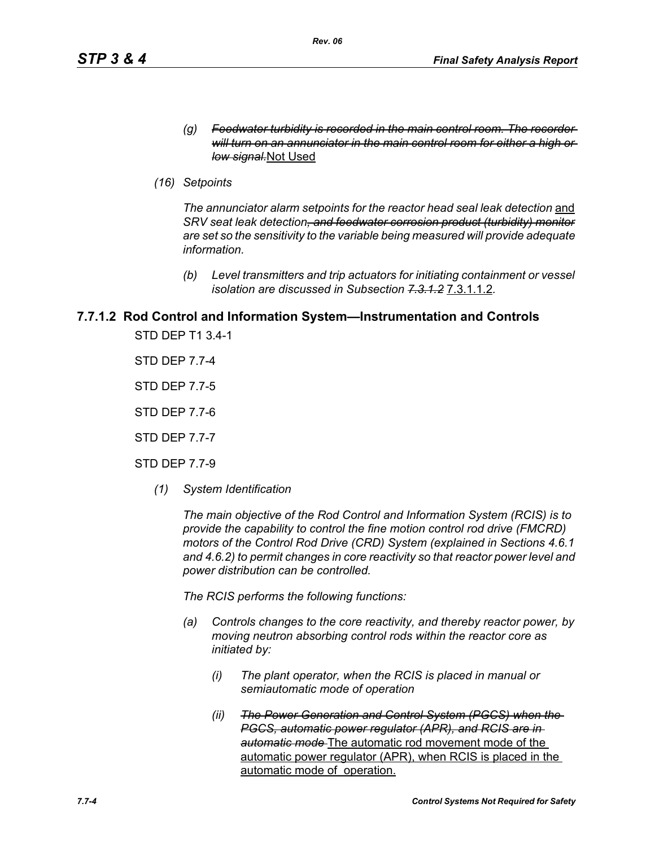- *(g) Feedwater turbidity is recorded in the main control room. The recorder will turn on an annunciator in the main control room for either a high or low signal.*Not Used
- *(16) Setpoints*

The annunciator alarm setpoints for the reactor head seal leak detection and *SRV seat leak detection, and feedwater corrosion product (turbidity) monitor are set so the sensitivity to the variable being measured will provide adequate information.*

*(b) Level transmitters and trip actuators for initiating containment or vessel isolation are discussed in Subsection 7.3.1.2* 7.3.1.1.2*.*

# **7.7.1.2 Rod Control and Information System—Instrumentation and Controls**

STD DEP T1 3.4-1

STD DEP 7.7-4

STD DEP 7.7-5

STD DEP 7.7-6

STD DEP 7.7-7

STD DEP 7.7-9

*(1) System Identification*

*The main objective of the Rod Control and Information System (RCIS) is to provide the capability to control the fine motion control rod drive (FMCRD) motors of the Control Rod Drive (CRD) System (explained in Sections 4.6.1 and 4.6.2) to permit changes in core reactivity so that reactor power level and power distribution can be controlled.* 

*The RCIS performs the following functions:*

- *(a) Controls changes to the core reactivity, and thereby reactor power, by moving neutron absorbing control rods within the reactor core as initiated by:*
	- *(i) The plant operator, when the RCIS is placed in manual or semiautomatic mode of operation*
	- *(ii) The Power Generation and Control System (PGCS) when the PGCS, automatic power regulator (APR), and RCIS are in automatic mode* The automatic rod movement mode of the automatic power regulator (APR), when RCIS is placed in the automatic mode of operation.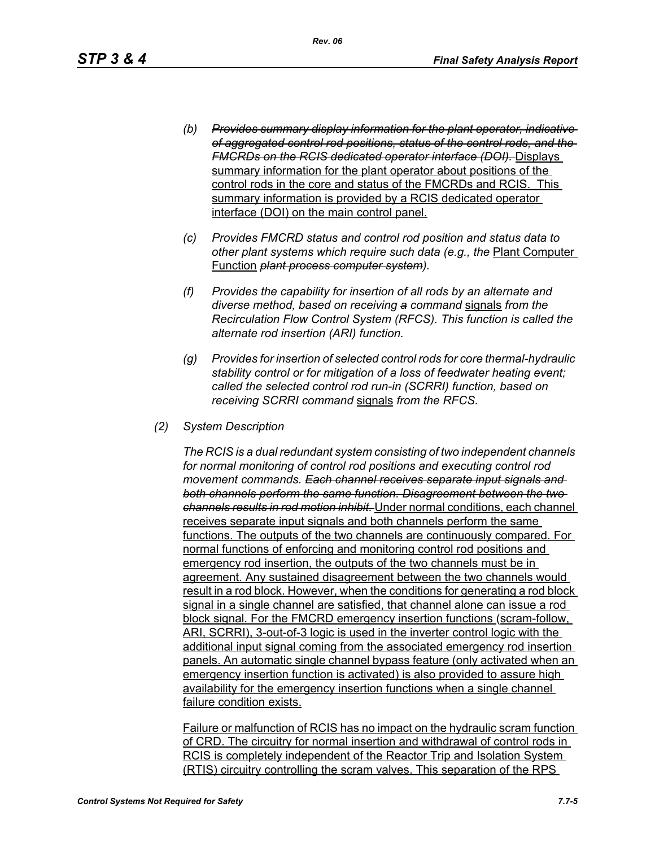- *(b) Provides summary display information for the plant operator, indicative of aggregated control rod positions, status of the control rods, and the FMCRDs on the RCIS dedicated operator interface (DOI).* Displays summary information for the plant operator about positions of the control rods in the core and status of the FMCRDs and RCIS. This summary information is provided by a RCIS dedicated operator interface (DOI) on the main control panel.
- *(c) Provides FMCRD status and control rod position and status data to other plant systems which require such data (e.g., the* Plant Computer Function *plant process computer system).*
- *(f) Provides the capability for insertion of all rods by an alternate and diverse method, based on receiving a command* signals *from the Recirculation Flow Control System (RFCS). This function is called the alternate rod insertion (ARI) function.*
- *(g) Provides for insertion of selected control rods for core thermal-hydraulic stability control or for mitigation of a loss of feedwater heating event; called the selected control rod run-in (SCRRI) function, based on receiving SCRRI command* signals *from the RFCS.*
- *(2) System Description*

*The RCIS is a dual redundant system consisting of two independent channels for normal monitoring of control rod positions and executing control rod movement commands. Each channel receives separate input signals and both channels perform the same function. Disagreement between the two channels results in rod motion inhibit.* Under normal conditions, each channel receives separate input signals and both channels perform the same functions. The outputs of the two channels are continuously compared. For normal functions of enforcing and monitoring control rod positions and emergency rod insertion, the outputs of the two channels must be in agreement. Any sustained disagreement between the two channels would result in a rod block. However, when the conditions for generating a rod block signal in a single channel are satisfied, that channel alone can issue a rod block signal. For the FMCRD emergency insertion functions (scram-follow, ARI, SCRRI), 3-out-of-3 logic is used in the inverter control logic with the additional input signal coming from the associated emergency rod insertion panels. An automatic single channel bypass feature (only activated when an emergency insertion function is activated) is also provided to assure high availability for the emergency insertion functions when a single channel failure condition exists.

Failure or malfunction of RCIS has no impact on the hydraulic scram function of CRD. The circuitry for normal insertion and withdrawal of control rods in RCIS is completely independent of the Reactor Trip and Isolation System (RTIS) circuitry controlling the scram valves. This separation of the RPS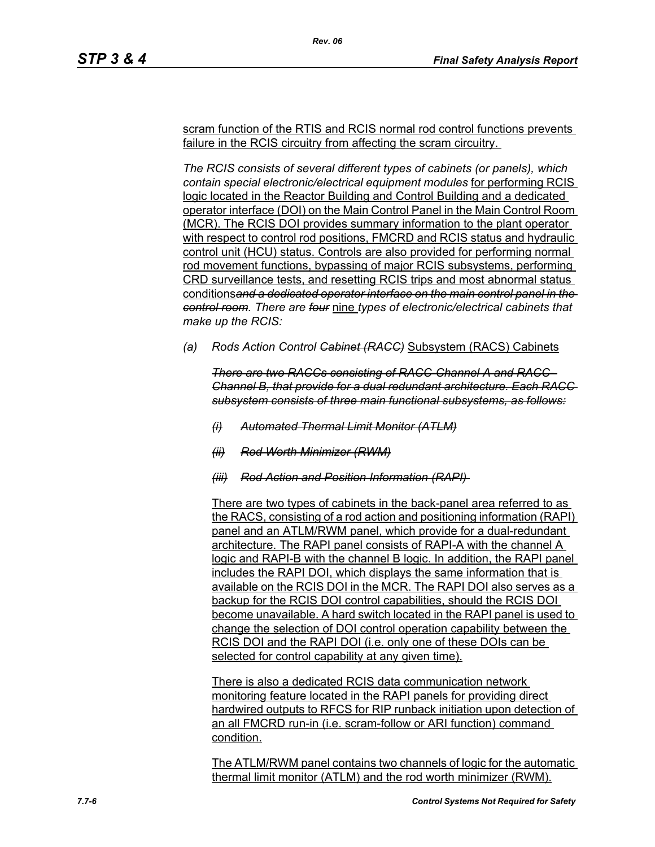scram function of the RTIS and RCIS normal rod control functions prevents failure in the RCIS circuitry from affecting the scram circuitry.

*Rev. 06*

*The RCIS consists of several different types of cabinets (or panels), which contain special electronic/electrical equipment modules* for performing RCIS logic located in the Reactor Building and Control Building and a dedicated operator interface (DOI) on the Main Control Panel in the Main Control Room (MCR). The RCIS DOI provides summary information to the plant operator with respect to control rod positions, FMCRD and RCIS status and hydraulic control unit (HCU) status. Controls are also provided for performing normal rod movement functions, bypassing of major RCIS subsystems, performing CRD surveillance tests, and resetting RCIS trips and most abnormal status conditions*and a dedicated operator interface on the main control panel in the control room. There are four* nine *types of electronic/electrical cabinets that make up the RCIS:*

*(a) Rods Action Control Cabinet (RACC)* Subsystem (RACS) Cabinets

*There are two RACCs consisting of RACC-Channel A and RACC-Channel B, that provide for a dual redundant architecture. Each RACC subsystem consists of three main functional subsystems, as follows:*

- *(i) Automated Thermal Limit Monitor (ATLM)*
- *(ii) Rod Worth Minimizer (RWM)*
- *(iii) Rod Action and Position Information (RAPI)*

There are two types of cabinets in the back-panel area referred to as the RACS, consisting of a rod action and positioning information (RAPI) panel and an ATLM/RWM panel, which provide for a dual-redundant architecture. The RAPI panel consists of RAPI-A with the channel A logic and RAPI-B with the channel B logic. In addition, the RAPI panel includes the RAPI DOI, which displays the same information that is available on the RCIS DOI in the MCR. The RAPI DOI also serves as a backup for the RCIS DOI control capabilities, should the RCIS DOI become unavailable. A hard switch located in the RAPI panel is used to change the selection of DOI control operation capability between the RCIS DOI and the RAPI DOI (i.e. only one of these DOIs can be selected for control capability at any given time).

There is also a dedicated RCIS data communication network monitoring feature located in the RAPI panels for providing direct hardwired outputs to RFCS for RIP runback initiation upon detection of an all FMCRD run-in (i.e. scram-follow or ARI function) command condition.

The ATLM/RWM panel contains two channels of logic for the automatic thermal limit monitor (ATLM) and the rod worth minimizer (RWM).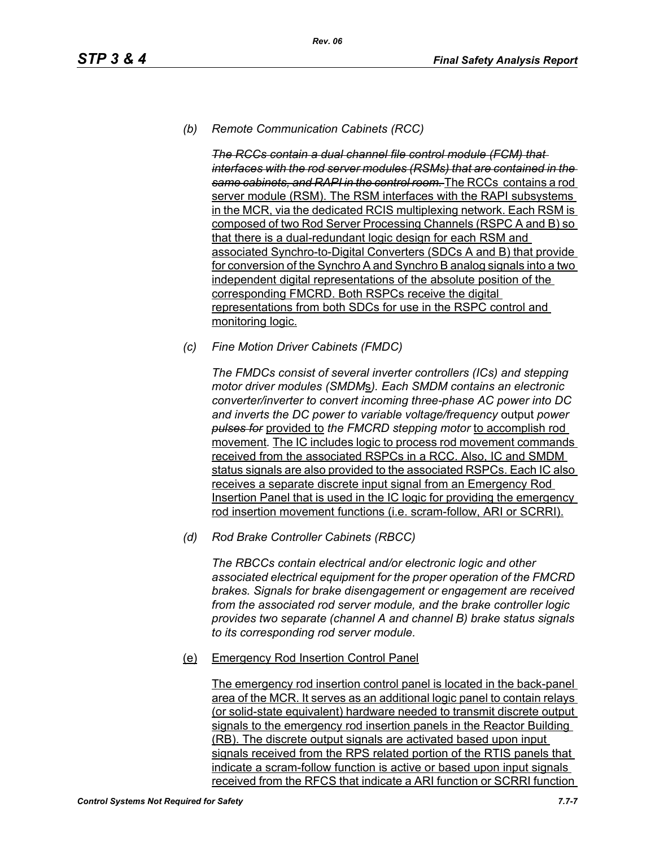# *(b) Remote Communication Cabinets (RCC)*

*The RCCs contain a dual channel file control module (FCM) that interfaces with the rod server modules (RSMs) that are contained in the same cabinets, and RAPI in the control room.* The RCCs contains a rod server module (RSM). The RSM interfaces with the RAPI subsystems in the MCR, via the dedicated RCIS multiplexing network. Each RSM is composed of two Rod Server Processing Channels (RSPC A and B) so that there is a dual-redundant logic design for each RSM and associated Synchro-to-Digital Converters (SDCs A and B) that provide for conversion of the Synchro A and Synchro B analog signals into a two independent digital representations of the absolute position of the corresponding FMCRD. Both RSPCs receive the digital representations from both SDCs for use in the RSPC control and monitoring logic.

*(c) Fine Motion Driver Cabinets (FMDC)* 

*The FMDCs consist of several inverter controllers (ICs) and stepping motor driver modules (SMDM*s*). Each SMDM contains an electronic converter/inverter to convert incoming three-phase AC power into DC and inverts the DC power to variable voltage/frequency* output *power pulses for* provided to *the FMCRD stepping motor* to accomplish rod movement*.* The IC includes logic to process rod movement commands received from the associated RSPCs in a RCC. Also, IC and SMDM status signals are also provided to the associated RSPCs. Each IC also receives a separate discrete input signal from an Emergency Rod Insertion Panel that is used in the IC logic for providing the emergency rod insertion movement functions (i.e. scram-follow, ARI or SCRRI).

*(d) Rod Brake Controller Cabinets (RBCC)*

*The RBCCs contain electrical and/or electronic logic and other associated electrical equipment for the proper operation of the FMCRD brakes. Signals for brake disengagement or engagement are received from the associated rod server module, and the brake controller logic provides two separate (channel A and channel B) brake status signals to its corresponding rod server module.*

(e) Emergency Rod Insertion Control Panel

The emergency rod insertion control panel is located in the back-panel area of the MCR. It serves as an additional logic panel to contain relays (or solid-state equivalent) hardware needed to transmit discrete output signals to the emergency rod insertion panels in the Reactor Building (RB). The discrete output signals are activated based upon input signals received from the RPS related portion of the RTIS panels that indicate a scram-follow function is active or based upon input signals received from the RFCS that indicate a ARI function or SCRRI function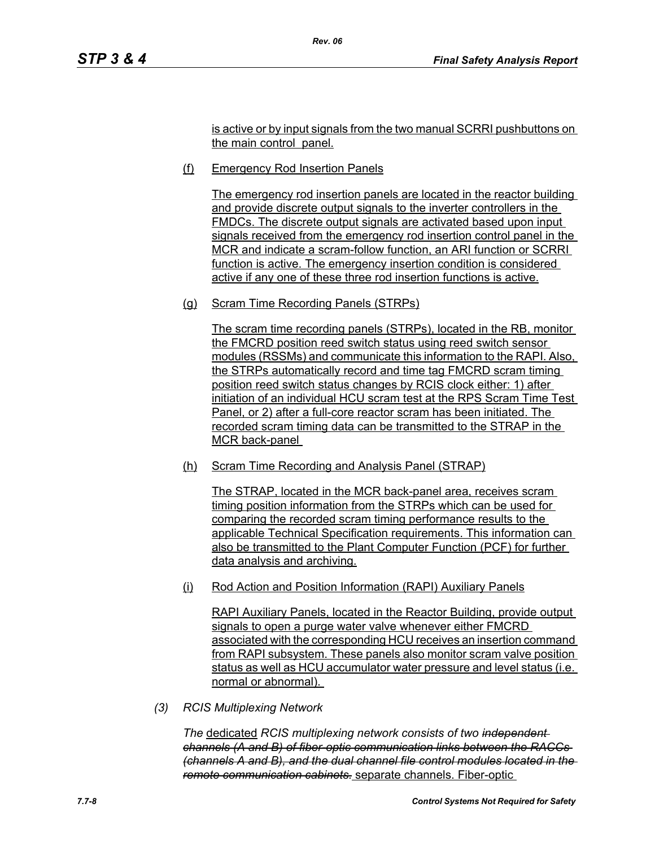is active or by input signals from the two manual SCRRI pushbuttons on the main control panel.

(f) Emergency Rod Insertion Panels

*Rev. 06*

The emergency rod insertion panels are located in the reactor building and provide discrete output signals to the inverter controllers in the FMDCs. The discrete output signals are activated based upon input signals received from the emergency rod insertion control panel in the MCR and indicate a scram-follow function, an ARI function or SCRRI function is active. The emergency insertion condition is considered active if any one of these three rod insertion functions is active.

(g) Scram Time Recording Panels (STRPs)

The scram time recording panels (STRPs), located in the RB, monitor the FMCRD position reed switch status using reed switch sensor modules (RSSMs) and communicate this information to the RAPI. Also, the STRPs automatically record and time tag FMCRD scram timing position reed switch status changes by RCIS clock either: 1) after initiation of an individual HCU scram test at the RPS Scram Time Test Panel, or 2) after a full-core reactor scram has been initiated. The recorded scram timing data can be transmitted to the STRAP in the MCR back-panel

(h) Scram Time Recording and Analysis Panel (STRAP)

The STRAP, located in the MCR back-panel area, receives scram timing position information from the STRPs which can be used for comparing the recorded scram timing performance results to the applicable Technical Specification requirements. This information can also be transmitted to the Plant Computer Function (PCF) for further data analysis and archiving.

(i) Rod Action and Position Information (RAPI) Auxiliary Panels

RAPI Auxiliary Panels, located in the Reactor Building, provide output signals to open a purge water valve whenever either FMCRD associated with the corresponding HCU receives an insertion command from RAPI subsystem. These panels also monitor scram valve position status as well as HCU accumulator water pressure and level status (i.e. normal or abnormal).

*(3) RCIS Multiplexing Network*

*The* dedicated *RCIS multiplexing network consists of two independent channels (A and B) of fiber-optic communication links between the RACCs (channels A and B), and the dual channel file control modules located in the remote communication cabinets.* separate channels. Fiber-optic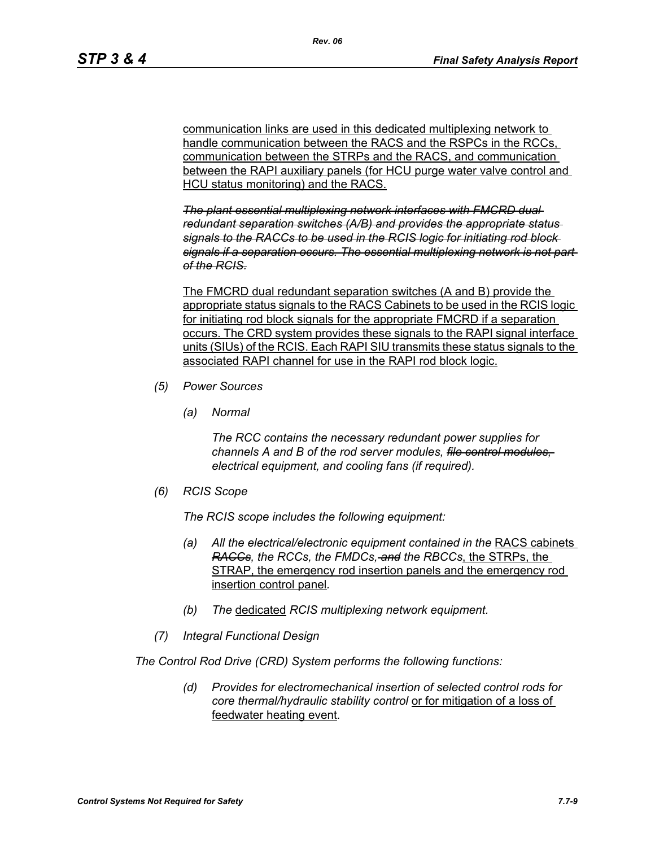communication links are used in this dedicated multiplexing network to handle communication between the RACS and the RSPCs in the RCCs. communication between the STRPs and the RACS, and communication between the RAPI auxiliary panels (for HCU purge water valve control and HCU status monitoring) and the RACS.

*The plant essential multiplexing network interfaces with FMCRD dual redundant separation switches (A/B) and provides the appropriate status signals to the RACCs to be used in the RCIS logic for initiating rod block signals if a separation occurs. The essential multiplexing network is not part of the RCIS.*

The FMCRD dual redundant separation switches (A and B) provide the appropriate status signals to the RACS Cabinets to be used in the RCIS logic for initiating rod block signals for the appropriate FMCRD if a separation occurs. The CRD system provides these signals to the RAPI signal interface units (SIUs) of the RCIS. Each RAPI SIU transmits these status signals to the associated RAPI channel for use in the RAPI rod block logic.

- *(5) Power Sources*
	- *(a) Normal*

*The RCC contains the necessary redundant power supplies for channels A and B of the rod server modules, file control modules, electrical equipment, and cooling fans (if required).*

*(6) RCIS Scope*

*The RCIS scope includes the following equipment:*

- *(a) All the electrical/electronic equipment contained in the* RACS cabinets *RACCs, the RCCs, the FMDCs, and the RBCCs*, the STRPs, the STRAP, the emergency rod insertion panels and the emergency rod insertion control panel*.*
- *(b) The* dedicated *RCIS multiplexing network equipment.*
- *(7) Integral Functional Design*

*The Control Rod Drive (CRD) System performs the following functions:*

*(d) Provides for electromechanical insertion of selected control rods for core thermal/hydraulic stability control* or for mitigation of a loss of feedwater heating event*.*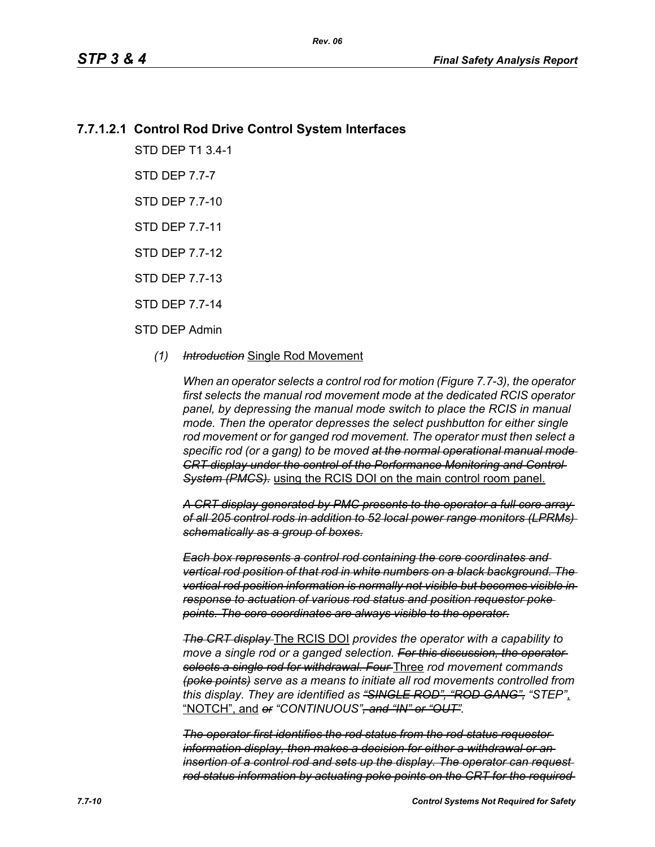# **7.7.1.2.1 Control Rod Drive Control System Interfaces**

STD DEP T1 3.4-1

STD DEP 7.7-7

STD DEP 7.7-10

STD DEP 7.7-11

STD DEP 7.7-12

STD DEP 7.7-13

STD DEP 7.7-14

### STD DEP Admin

### *(1) Introduction* Single Rod Movement

*When an operator selects a control rod for motion (Figure 7.7-3), the operator first selects the manual rod movement mode at the dedicated RCIS operator panel, by depressing the manual mode switch to place the RCIS in manual mode. Then the operator depresses the select pushbutton for either single rod movement or for ganged rod movement. The operator must then select a specific rod (or a gang) to be moved at the normal operational manual mode CRT display under the control of the Performance Monitoring and Control System (PMCS).* using the RCIS DOI on the main control room panel.

*A CRT display generated by PMC presents to the operator a full core array of all 205 control rods in addition to 52 local power range monitors (LPRMs) schematically as a group of boxes.*

*Each box represents a control rod containing the core coordinates and vertical rod position of that rod in white numbers on a black background. The vertical rod position information is normally not visible but becomes visible in response to actuation of various rod status and position requestor poke points. The core coordinates are always visible to the operator.*

*The CRT display* The RCIS DOI *provides the operator with a capability to*  move a single rod or a ganged selection. For this discussion, the operator*selects a single rod for withdrawal. Four* Three *rod movement commands (poke points) serve as a means to initiate all rod movements controlled from this display. They are identified as "SINGLE ROD", "ROD GANG", "STEP"*, "NOTCH", and *or "CONTINUOUS", and "IN" or "OUT".*

*The operator first identifies the rod status from the rod status requestor information display, then makes a decision for either a withdrawal or an insertion of a control rod and sets up the display. The operator can request rod status information by actuating poke points on the CRT for the required*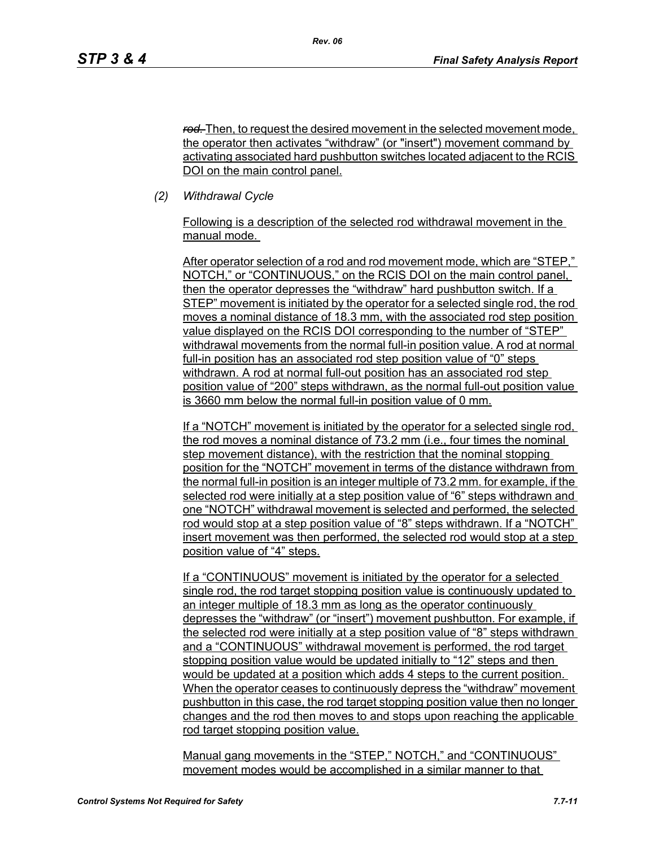*rod.* Then, to request the desired movement in the selected movement mode, the operator then activates "withdraw" (or "insert") movement command by activating associated hard pushbutton switches located adjacent to the RCIS DOI on the main control panel.

*(2) Withdrawal Cycle* 

Following is a description of the selected rod withdrawal movement in the manual mode.

After operator selection of a rod and rod movement mode, which are "STEP," NOTCH," or "CONTINUOUS," on the RCIS DOI on the main control panel, then the operator depresses the "withdraw" hard pushbutton switch. If a STEP" movement is initiated by the operator for a selected single rod, the rod moves a nominal distance of 18.3 mm, with the associated rod step position value displayed on the RCIS DOI corresponding to the number of "STEP" withdrawal movements from the normal full-in position value. A rod at normal full-in position has an associated rod step position value of "0" steps withdrawn. A rod at normal full-out position has an associated rod step position value of "200" steps withdrawn, as the normal full-out position value is 3660 mm below the normal full-in position value of 0 mm.

If a "NOTCH" movement is initiated by the operator for a selected single rod, the rod moves a nominal distance of 73.2 mm (i.e., four times the nominal step movement distance), with the restriction that the nominal stopping position for the "NOTCH" movement in terms of the distance withdrawn from the normal full-in position is an integer multiple of 73.2 mm. for example, if the selected rod were initially at a step position value of "6" steps withdrawn and one "NOTCH" withdrawal movement is selected and performed, the selected rod would stop at a step position value of "8" steps withdrawn. If a "NOTCH" insert movement was then performed, the selected rod would stop at a step position value of "4" steps.

If a "CONTINUOUS" movement is initiated by the operator for a selected single rod, the rod target stopping position value is continuously updated to an integer multiple of 18.3 mm as long as the operator continuously depresses the "withdraw" (or "insert") movement pushbutton. For example, if the selected rod were initially at a step position value of "8" steps withdrawn and a "CONTINUOUS" withdrawal movement is performed, the rod target stopping position value would be updated initially to "12" steps and then would be updated at a position which adds 4 steps to the current position. When the operator ceases to continuously depress the "withdraw" movement pushbutton in this case, the rod target stopping position value then no longer changes and the rod then moves to and stops upon reaching the applicable rod target stopping position value.

Manual gang movements in the "STEP," NOTCH," and "CONTINUOUS" movement modes would be accomplished in a similar manner to that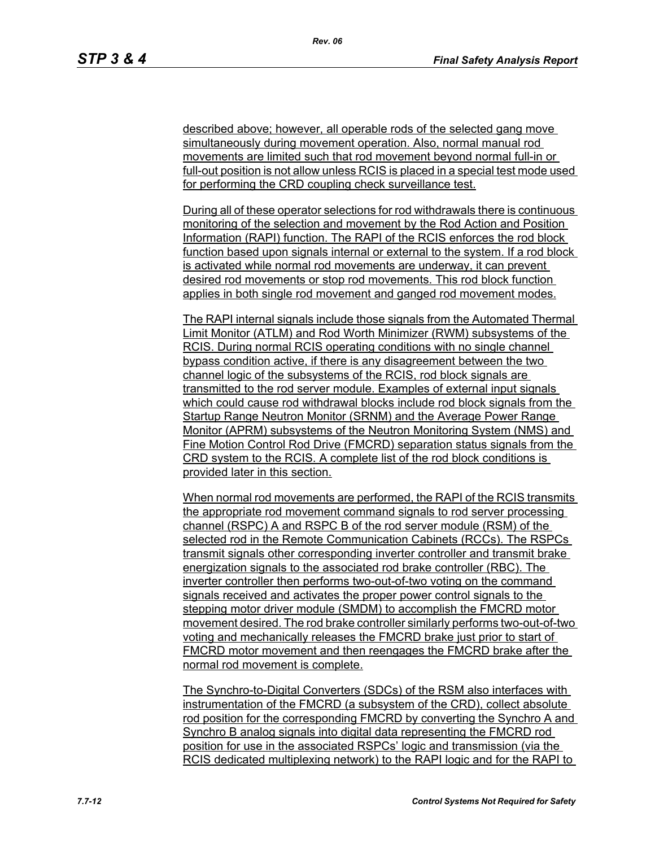described above; however, all operable rods of the selected gang move simultaneously during movement operation. Also, normal manual rod movements are limited such that rod movement beyond normal full-in or full-out position is not allow unless RCIS is placed in a special test mode used for performing the CRD coupling check surveillance test.

During all of these operator selections for rod withdrawals there is continuous monitoring of the selection and movement by the Rod Action and Position Information (RAPI) function. The RAPI of the RCIS enforces the rod block function based upon signals internal or external to the system. If a rod block is activated while normal rod movements are underway, it can prevent desired rod movements or stop rod movements. This rod block function applies in both single rod movement and ganged rod movement modes.

The RAPI internal signals include those signals from the Automated Thermal Limit Monitor (ATLM) and Rod Worth Minimizer (RWM) subsystems of the RCIS. During normal RCIS operating conditions with no single channel bypass condition active, if there is any disagreement between the two channel logic of the subsystems of the RCIS, rod block signals are transmitted to the rod server module. Examples of external input signals which could cause rod withdrawal blocks include rod block signals from the Startup Range Neutron Monitor (SRNM) and the Average Power Range Monitor (APRM) subsystems of the Neutron Monitoring System (NMS) and Fine Motion Control Rod Drive (FMCRD) separation status signals from the CRD system to the RCIS. A complete list of the rod block conditions is provided later in this section.

When normal rod movements are performed, the RAPI of the RCIS transmits the appropriate rod movement command signals to rod server processing channel (RSPC) A and RSPC B of the rod server module (RSM) of the selected rod in the Remote Communication Cabinets (RCCs). The RSPCs transmit signals other corresponding inverter controller and transmit brake energization signals to the associated rod brake controller (RBC). The inverter controller then performs two-out-of-two voting on the command signals received and activates the proper power control signals to the stepping motor driver module (SMDM) to accomplish the FMCRD motor movement desired. The rod brake controller similarly performs two-out-of-two voting and mechanically releases the FMCRD brake just prior to start of FMCRD motor movement and then reengages the FMCRD brake after the normal rod movement is complete.

The Synchro-to-Digital Converters (SDCs) of the RSM also interfaces with instrumentation of the FMCRD (a subsystem of the CRD), collect absolute rod position for the corresponding FMCRD by converting the Synchro A and Synchro B analog signals into digital data representing the FMCRD rod position for use in the associated RSPCs' logic and transmission (via the RCIS dedicated multiplexing network) to the RAPI logic and for the RAPI to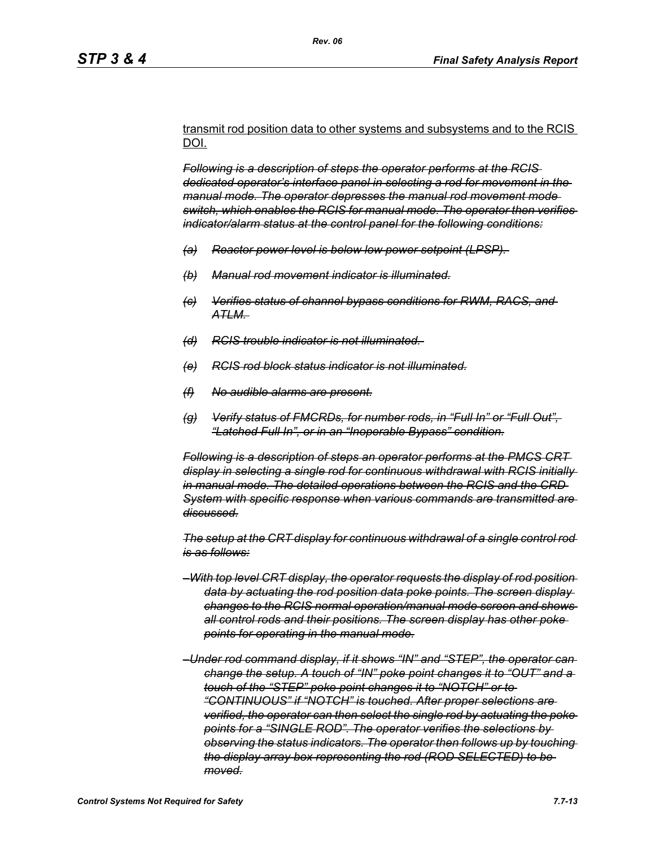transmit rod position data to other systems and subsystems and to the RCIS DOI.

*Following is a description of steps the operator performs at the RCIS dedicated operator's interface panel in selecting a rod for movement in the manual mode. The operator depresses the manual rod movement mode switch, which enables the RCIS for manual mode. The operator then verifies indicator/alarm status at the control panel for the following conditions:*

- *(a) Reactor power level is below low power setpoint (LPSP).*
- *(b) Manual rod movement indicator is illuminated.*
- *(c) Verifies status of channel bypass conditions for RWM, RACS, and ATLM.*
- *(d) RCIS trouble indicator is not illuminated.*
- *(e) RCIS rod block status indicator is not illuminated.*
- *(f) No audible alarms are present.*
- *(g) Verify status of FMCRDs, for number rods, in "Full In" or "Full Out", "Latched Full In", or in an "Inoperable Bypass" condition.*

*Following is a description of steps an operator performs at the PMCS CRT display in selecting a single rod for continuous withdrawal with RCIS initially in manual mode. The detailed operations between the RCIS and the CRD System with specific response when various commands are transmitted are discussed.*

*The setup at the CRT display for continuous withdrawal of a single control rod is as follows:*

- *–With top level CRT display, the operator requests the display of rod position data by actuating the rod position data poke points. The screen display changes to the RCIS normal operation/manual mode screen and shows all control rods and their positions. The screen display has other poke points for operating in the manual mode.*
- *–Under rod command display, if it shows "IN" and "STEP", the operator can change the setup. A touch of "IN" poke point changes it to "OUT" and a touch of the "STEP" poke point changes it to "NOTCH" or to "CONTINUOUS" if "NOTCH" is touched. After proper selections are verified, the operator can then select the single rod by actuating the poke points for a "SINGLE ROD". The operator verifies the selections by observing the status indicators. The operator then follows up by touching the display array box representing the rod (ROD SELECTED) to be moved.*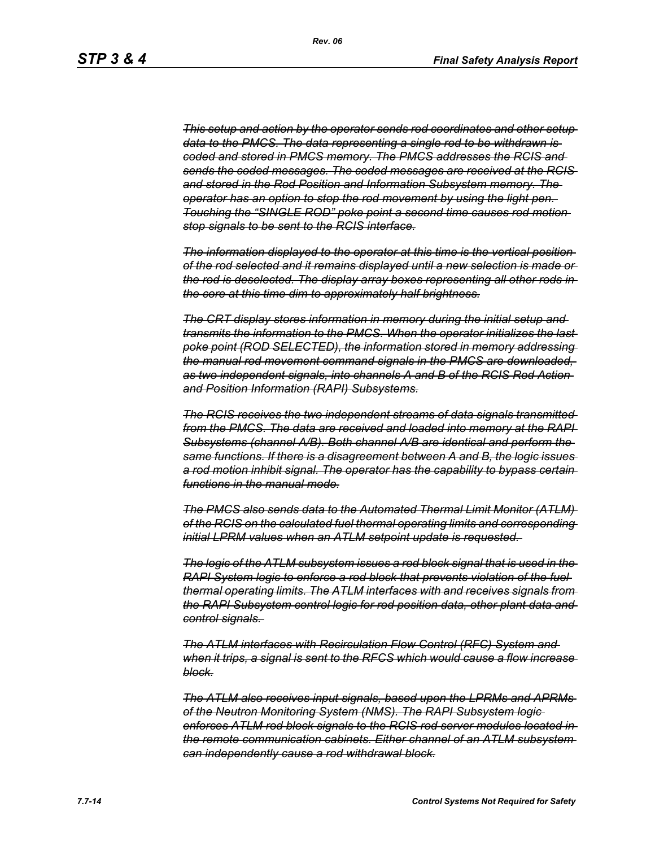*This setup and action by the operator sends rod coordinates and other setup data to the PMCS. The data representing a single rod to be withdrawn is coded and stored in PMCS memory. The PMCS addresses the RCIS and sends the coded messages. The coded messages are received at the RCIS and stored in the Rod Position and Information Subsystem memory. The operator has an option to stop the rod movement by using the light pen. Touching the "SINGLE ROD" poke point a second time causes rod motion stop signals to be sent to the RCIS interface.*

*The information displayed to the operator at this time is the vertical position of the rod selected and it remains displayed until a new selection is made or the rod is deselected. The display array boxes representing all other rods in the core at this time dim to approximately half brightness.*

*The CRT display stores information in memory during the initial setup and transmits the information to the PMCS. When the operator initializes the last poke point (ROD SELECTED), the information stored in memory addressing the manual rod movement command signals in the PMCS are downloaded, as two independent signals, into channels A and B of the RCIS Rod Action and Position Information (RAPI) Subsystems.*

*The RCIS receives the two independent streams of data signals transmitted from the PMCS. The data are received and loaded into memory at the RAPI Subsystems (channel A/B). Both channel A/B are identical and perform the same functions. If there is a disagreement between A and B, the logic issues a rod motion inhibit signal. The operator has the capability to bypass certain functions in the manual mode.*

*The PMCS also sends data to the Automated Thermal Limit Monitor (ATLM) of the RCIS on the calculated fuel thermal operating limits and corresponding initial LPRM values when an ATLM setpoint update is requested.* 

*The logic of the ATLM subsystem issues a rod block signal that is used in the RAPI System logic to enforce a rod block that prevents violation of the fuel thermal operating limits. The ATLM interfaces with and receives signals from the RAPI Subsystem control logic for rod position data, other plant data and control signals.* 

*The ATLM interfaces with Recirculation Flow Control (RFC) System and when it trips, a signal is sent to the RFCS which would cause a flow increase block.*

*The ATLM also receives input signals, based upon the LPRMs and APRMs of the Neutron Monitoring System (NMS). The RAPI Subsystem logic enforces ATLM rod block signals to the RCIS rod server modules located in the remote communication cabinets. Either channel of an ATLM subsystem can independently cause a rod withdrawal block.*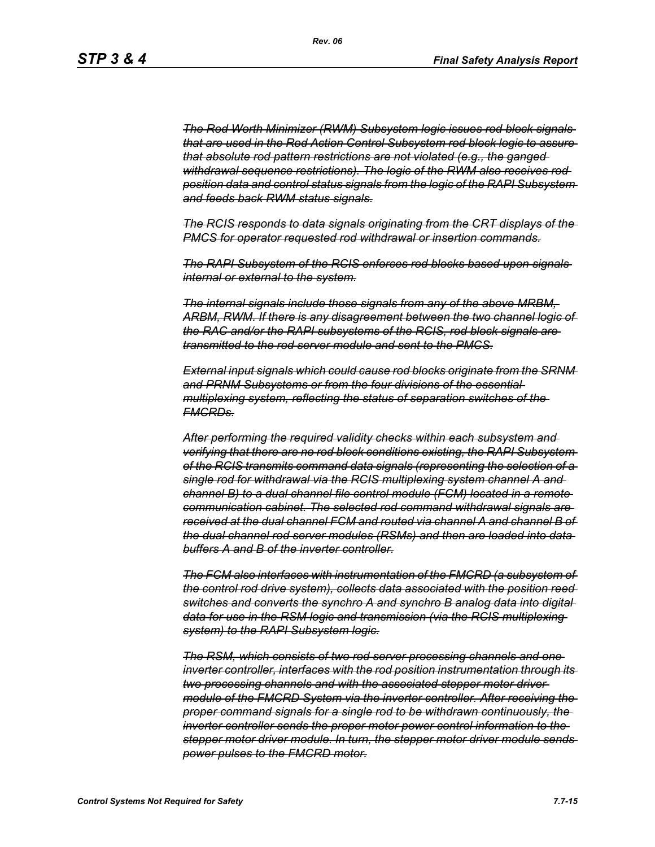*The Rod Worth Minimizer (RWM) Subsystem logic issues rod block signals that are used in the Rod Action Control Subsystem rod block logic to assure that absolute rod pattern restrictions are not violated (e.g., the ganged withdrawal sequence restrictions). The logic of the RWM also receives rod position data and control status signals from the logic of the RAPI Subsystem and feeds back RWM status signals.*

*The RCIS responds to data signals originating from the CRT displays of the PMCS for operator requested rod withdrawal or insertion commands.*

*The RAPI Subsystem of the RCIS enforces rod blocks based upon signals internal or external to the system.*

*The internal signals include those signals from any of the above MRBM, ARBM, RWM. If there is any disagreement between the two channel logic of the RAC and/or the RAPI subsystems of the RCIS, rod block signals are transmitted to the rod server module and sent to the PMCS.*

*External input signals which could cause rod blocks originate from the SRNM and PRNM Subsystems or from the four divisions of the essential multiplexing system, reflecting the status of separation switches of the FMCRDs.*

*After performing the required validity checks within each subsystem and verifying that there are no rod block conditions existing, the RAPI Subsystem of the RCIS transmits command data signals (representing the selection of a single rod for withdrawal via the RCIS multiplexing system channel A and channel B) to a dual channel file control module (FCM) located in a remote communication cabinet. The selected rod command withdrawal signals are received at the dual channel FCM and routed via channel A and channel B of the dual channel rod server modules (RSMs) and then are loaded into data buffers A and B of the inverter controller.*

*The FCM also interfaces with instrumentation of the FMCRD (a subsystem of the control rod drive system), collects data associated with the position reed switches and converts the synchro A and synchro B analog data into digital data for use in the RSM logic and transmission (via the RCIS multiplexing system) to the RAPI Subsystem logic.*

*The RSM, which consists of two rod server processing channels and one inverter controller, interfaces with the rod position instrumentation through its two processing channels and with the associated stepper motor driver module of the FMCRD System via the inverter controller. After receiving the proper command signals for a single rod to be withdrawn continuously, the inverter controller sends the proper motor power control information to the stepper motor driver module. In turn, the stepper motor driver module sends power pulses to the FMCRD motor.*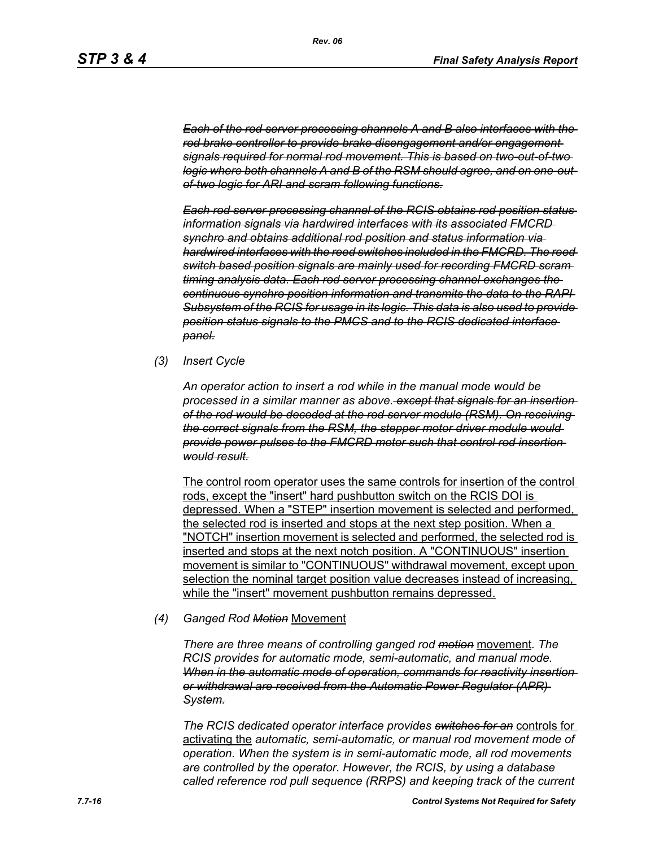*Each of the rod server processing channels A and B also interfaces with the rod brake controller to provide brake disengagement and/or engagement signals required for normal rod movement. This is based on two-out-of-two logic where both channels A and B of the RSM should agree, and on one-outof-two logic for ARI and scram following functions.*

*Each rod server processing channel of the RCIS obtains rod position status information signals via hardwired interfaces with its associated FMCRD synchro and obtains additional rod position and status information via hardwired interfaces with the reed switches included in the FMCRD. The reed switch based position signals are mainly used for recording FMCRD scram timing analysis data. Each rod server processing channel exchanges the continuous synchro position information and transmits the data to the RAPI Subsystem of the RCIS for usage in its logic. This data is also used to provide position status signals to the PMCS and to the RCIS dedicated interface panel.*

*(3) Insert Cycle*

*An operator action to insert a rod while in the manual mode would be processed in a similar manner as above. except that signals for an insertion of the rod would be decoded at the rod server module (RSM). On receiving the correct signals from the RSM, the stepper motor driver module would provide power pulses to the FMCRD motor such that control rod insertion would result.*

The control room operator uses the same controls for insertion of the control rods, except the "insert" hard pushbutton switch on the RCIS DOI is depressed. When a "STEP" insertion movement is selected and performed, the selected rod is inserted and stops at the next step position. When a "NOTCH" insertion movement is selected and performed, the selected rod is inserted and stops at the next notch position. A "CONTINUOUS" insertion movement is similar to "CONTINUOUS" withdrawal movement, except upon selection the nominal target position value decreases instead of increasing, while the "insert" movement pushbutton remains depressed.

#### *(4) Ganged Rod Motion* Movement

*There are three means of controlling ganged rod motion* movement*. The RCIS provides for automatic mode, semi-automatic, and manual mode. When in the automatic mode of operation, commands for reactivity insertion or withdrawal are received from the Automatic Power Regulator (APR) System.*

*The RCIS dedicated operator interface provides switches for an* controls for activating the *automatic, semi-automatic, or manual rod movement mode of operation. When the system is in semi-automatic mode, all rod movements are controlled by the operator. However, the RCIS, by using a database called reference rod pull sequence (RRPS) and keeping track of the current*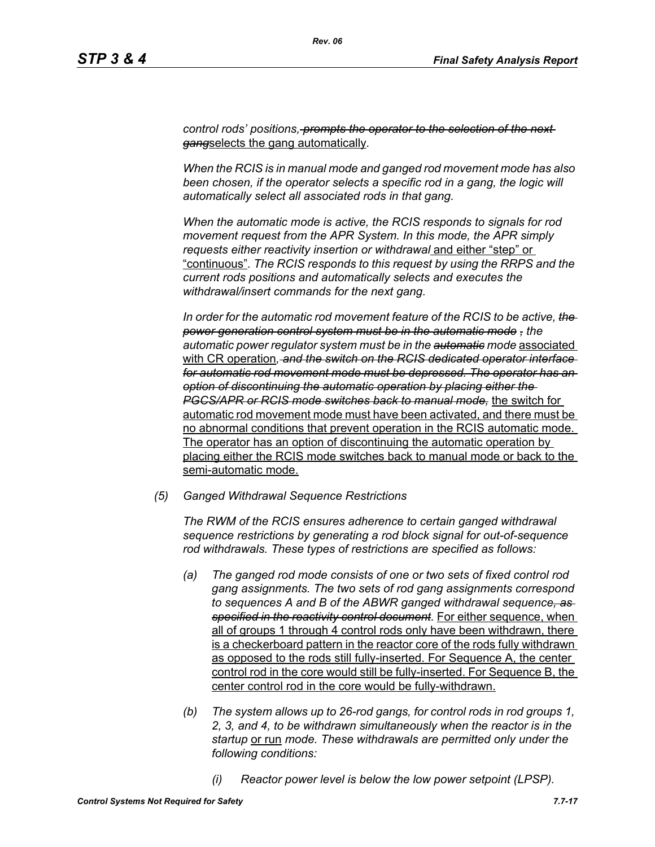*control rods' positions, prompts the operator to the selection of the next gang*selects the gang automatically*.*

*When the RCIS is in manual mode and ganged rod movement mode has also*  been chosen, if the operator selects a specific rod in a gang, the logic will *automatically select all associated rods in that gang.*

*When the automatic mode is active, the RCIS responds to signals for rod movement request from the APR System. In this mode, the APR simply requests either reactivity insertion or withdrawal* and either "step" or "continuous"*. The RCIS responds to this request by using the RRPS and the current rods positions and automatically selects and executes the withdrawal/insert commands for the next gang.*

*In order for the automatic rod movement feature of the RCIS to be active, the power generation control system must be in the automatic mode , the automatic power regulator system must be in the automatic mode* associated with CR operation*, and the switch on the RCIS dedicated operator interface for automatic rod movement mode must be depressed. The operator has an option of discontinuing the automatic operation by placing either the PGCS/APR or RCIS mode switches back to manual mode,* the switch for automatic rod movement mode must have been activated, and there must be no abnormal conditions that prevent operation in the RCIS automatic mode. The operator has an option of discontinuing the automatic operation by placing either the RCIS mode switches back to manual mode or back to the semi-automatic mode.

*(5) Ganged Withdrawal Sequence Restrictions*

*The RWM of the RCIS ensures adherence to certain ganged withdrawal sequence restrictions by generating a rod block signal for out-of-sequence rod withdrawals. These types of restrictions are specified as follows:*

- *(a) The ganged rod mode consists of one or two sets of fixed control rod gang assignments. The two sets of rod gang assignments correspond to sequences A and B of the ABWR ganged withdrawal sequence, as specified in the reactivity control document.* For either sequence, when all of groups 1 through 4 control rods only have been withdrawn, there is a checkerboard pattern in the reactor core of the rods fully withdrawn as opposed to the rods still fully-inserted. For Sequence A, the center control rod in the core would still be fully-inserted. For Sequence B, the center control rod in the core would be fully-withdrawn.
- *(b) The system allows up to 26-rod gangs, for control rods in rod groups 1, 2, 3, and 4, to be withdrawn simultaneously when the reactor is in the startup* or run *mode. These withdrawals are permitted only under the following conditions:*
	- *(i) Reactor power level is below the low power setpoint (LPSP).*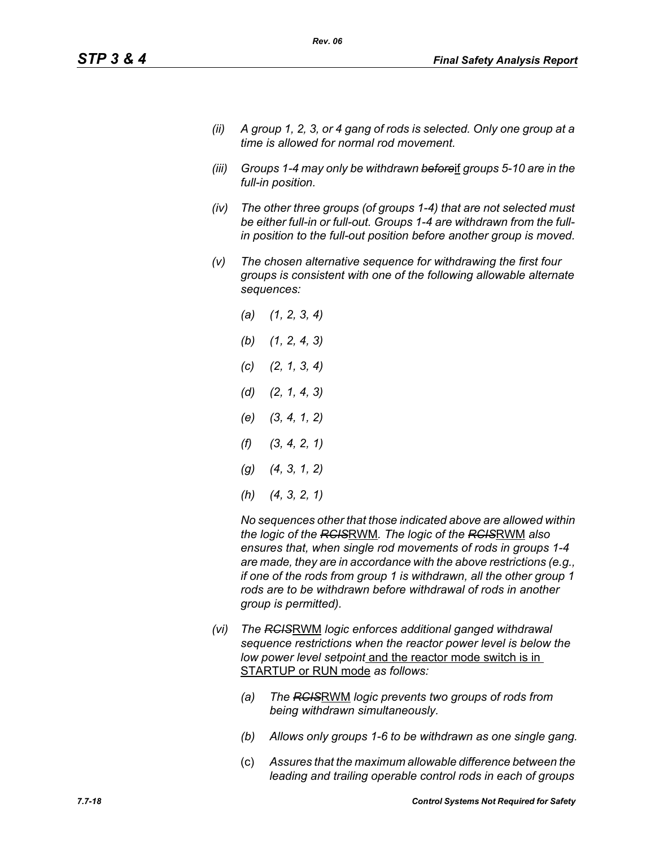- *(ii) A group 1, 2, 3, or 4 gang of rods is selected. Only one group at a time is allowed for normal rod movement.*
- *(iii) Groups 1-4 may only be withdrawn before*if *groups 5-10 are in the full-in position.*
- *(iv) The other three groups (of groups 1-4) that are not selected must be either full-in or full-out. Groups 1-4 are withdrawn from the fullin position to the full-out position before another group is moved.*
- *(v) The chosen alternative sequence for withdrawing the first four groups is consistent with one of the following allowable alternate sequences:*
	- *(a) (1, 2, 3, 4) (b) (1, 2, 4, 3) (c) (2, 1, 3, 4) (d) (2, 1, 4, 3) (e) (3, 4, 1, 2) (f) (3, 4, 2, 1) (g) (4, 3, 1, 2) (h) (4, 3, 2, 1)*

*No sequences other that those indicated above are allowed within the logic of the RCIS*RWM*. The logic of the RCIS*RWM *also ensures that, when single rod movements of rods in groups 1-4 are made, they are in accordance with the above restrictions (e.g., if one of the rods from group 1 is withdrawn, all the other group 1 rods are to be withdrawn before withdrawal of rods in another group is permitted).*

- *(vi) The RCIS*RWM *logic enforces additional ganged withdrawal sequence restrictions when the reactor power level is below the low power level setpoint* and the reactor mode switch is in STARTUP or RUN mode *as follows:*
	- *(a) The RCIS*RWM *logic prevents two groups of rods from being withdrawn simultaneously.*
	- *(b) Allows only groups 1-6 to be withdrawn as one single gang.*
	- (c) *Assures that the maximum allowable difference between the leading and trailing operable control rods in each of groups*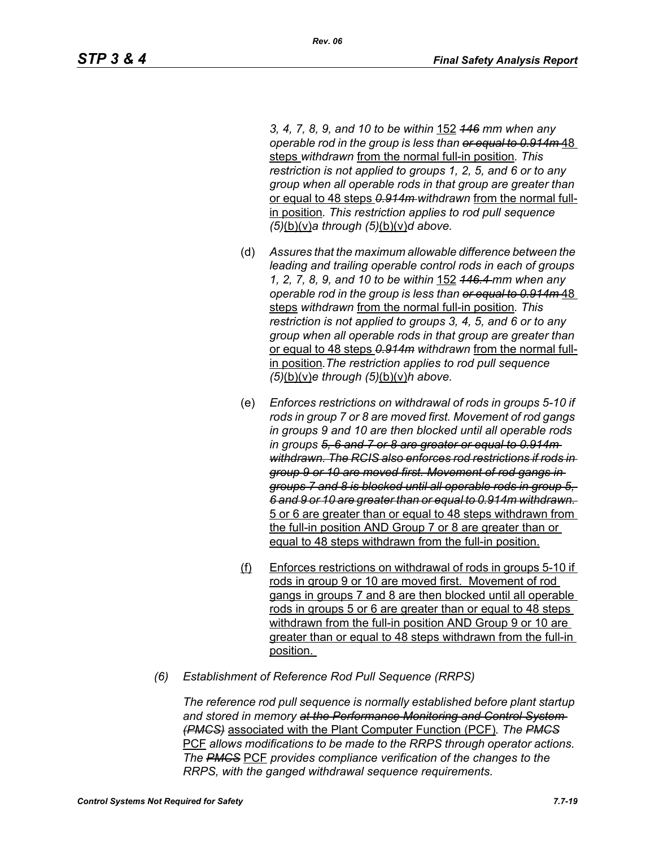*3, 4, 7, 8, 9, and 10 to be within* 152 *146 mm when any operable rod in the group is less than or equal to 0.914m* 48 steps *withdrawn* from the normal full-in position*. This restriction is not applied to groups 1, 2, 5, and 6 or to any group when all operable rods in that group are greater than*  or equal to 48 steps *0.914m withdrawn* from the normal fullin position*. This restriction applies to rod pull sequence (5)*(b)(v)*a through (5)*(b)(v)*d above.*

- (d) *Assures that the maximum allowable difference between the leading and trailing operable control rods in each of groups 1, 2, 7, 8, 9, and 10 to be within* 152 *146.4 mm when any operable rod in the group is less than or equal to 0.914m* 48 steps *withdrawn* from the normal full-in position*. This restriction is not applied to groups 3, 4, 5, and 6 or to any group when all operable rods in that group are greater than*  or equal to 48 steps *0.914m withdrawn* from the normal fullin position*.The restriction applies to rod pull sequence (5)*(b)(v)*e through (5)*(b)(v)*h above.*
- (e) *Enforces restrictions on withdrawal of rods in groups 5-10 if rods in group 7 or 8 are moved first. Movement of rod gangs in groups 9 and 10 are then blocked until all operable rods in groups 5, 6 and 7 or 8 are greater or equal to 0.914m withdrawn. The RCIS also enforces rod restrictions if rods in group 9 or 10 are moved first. Movement of rod gangs in groups 7 and 8 is blocked until all operable rods in group 5, 6 and 9 or 10 are greater than or equal to 0.914m withdrawn.*  5 or 6 are greater than or equal to 48 steps withdrawn from the full-in position AND Group 7 or 8 are greater than or equal to 48 steps withdrawn from the full-in position.
- (f) Enforces restrictions on withdrawal of rods in groups 5-10 if rods in group 9 or 10 are moved first. Movement of rod gangs in groups 7 and 8 are then blocked until all operable rods in groups 5 or 6 are greater than or equal to 48 steps withdrawn from the full-in position AND Group 9 or 10 are greater than or equal to 48 steps withdrawn from the full-in position.
- *(6) Establishment of Reference Rod Pull Sequence (RRPS)*

*The reference rod pull sequence is normally established before plant startup and stored in memory at the Performance Monitoring and Control System (PMCS)* associated with the Plant Computer Function (PCF)*. The PMCS* PCF *allows modifications to be made to the RRPS through operator actions. The PMCS* PCF *provides compliance verification of the changes to the RRPS, with the ganged withdrawal sequence requirements.*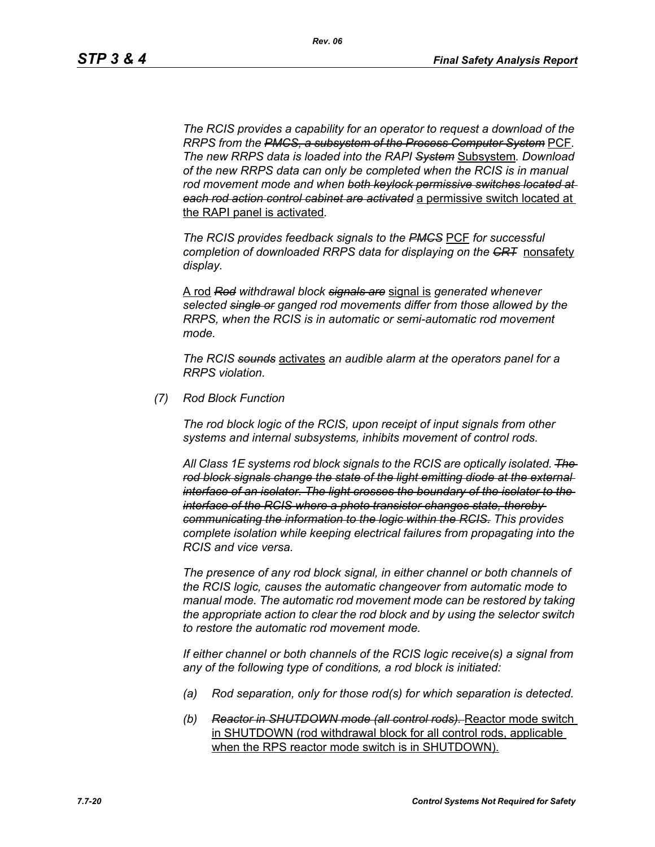*The RCIS provides a capability for an operator to request a download of the RRPS from the PMCS, a subsystem of the Process Computer System* PCF*. The new RRPS data is loaded into the RAPI System* Subsystem*. Download of the new RRPS data can only be completed when the RCIS is in manual rod movement mode and when both keylock permissive switches located at each rod action control cabinet are activated* a permissive switch located at the RAPI panel is activated*.*

*The RCIS provides feedback signals to the PMCS* PCF *for successful completion of downloaded RRPS data for displaying on the CRT* nonsafety *display.*

A rod *Rod withdrawal block signals are* signal is *generated whenever selected single or ganged rod movements differ from those allowed by the RRPS, when the RCIS is in automatic or semi-automatic rod movement mode.*

*The RCIS sounds* activates *an audible alarm at the operators panel for a RRPS violation.*

*(7) Rod Block Function*

*The rod block logic of the RCIS, upon receipt of input signals from other systems and internal subsystems, inhibits movement of control rods.*

*All Class 1E systems rod block signals to the RCIS are optically isolated. The rod block signals change the state of the light emitting diode at the external interface of an isolator. The light crosses the boundary of the isolator to the interface of the RCIS where a photo transistor changes state, thereby communicating the information to the logic within the RCIS. This provides complete isolation while keeping electrical failures from propagating into the RCIS and vice versa.*

*The presence of any rod block signal, in either channel or both channels of the RCIS logic, causes the automatic changeover from automatic mode to manual mode. The automatic rod movement mode can be restored by taking the appropriate action to clear the rod block and by using the selector switch to restore the automatic rod movement mode.*

*If either channel or both channels of the RCIS logic receive(s) a signal from any of the following type of conditions, a rod block is initiated:*

- *(a) Rod separation, only for those rod(s) for which separation is detected.*
- *(b) Reactor in SHUTDOWN mode (all control rods).* Reactor mode switch in SHUTDOWN (rod withdrawal block for all control rods, applicable when the RPS reactor mode switch is in SHUTDOWN).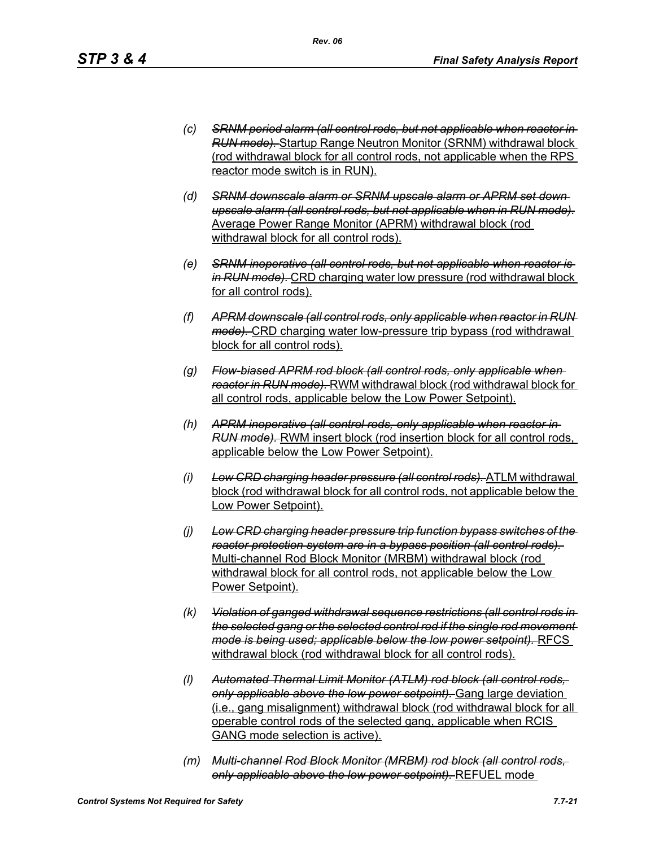- *(c) SRNM period alarm (all control rods, but not applicable when reactor in RUN mode).* Startup Range Neutron Monitor (SRNM) withdrawal block (rod withdrawal block for all control rods, not applicable when the RPS reactor mode switch is in RUN).
- *(d) SRNM downscale alarm or SRNM upscale alarm or APRM set down upscale alarm (all control rods, but not applicable when in RUN mode).* Average Power Range Monitor (APRM) withdrawal block (rod withdrawal block for all control rods).
- *(e) SRNM inoperative (all control rods, but not applicable when reactor is in RUN mode).* CRD charging water low pressure (rod withdrawal block for all control rods).
- *(f) APRM downscale (all control rods, only applicable when reactor in RUN mode).* CRD charging water low-pressure trip bypass (rod withdrawal block for all control rods).
- *(g) Flow-biased APRM rod block (all control rods, only applicable when reactor in RUN mode).* RWM withdrawal block (rod withdrawal block for all control rods, applicable below the Low Power Setpoint).
- *(h) APRM inoperative (all control rods, only applicable when reactor in RUN mode).* RWM insert block (rod insertion block for all control rods, applicable below the Low Power Setpoint).
- *(i) Low CRD charging header pressure (all control rods).* ATLM withdrawal block (rod withdrawal block for all control rods, not applicable below the Low Power Setpoint).
- *(j) Low CRD charging header pressure trip function bypass switches of the reactor protection system are in a bypass position (all control rods).*  Multi-channel Rod Block Monitor (MRBM) withdrawal block (rod withdrawal block for all control rods, not applicable below the Low Power Setpoint).
- *(k) Violation of ganged withdrawal sequence restrictions (all control rods in the selected gang or the selected control rod if the single rod movement mode is being used; applicable below the low power setpoint).* RFCS withdrawal block (rod withdrawal block for all control rods).
- *(l) Automated Thermal Limit Monitor (ATLM) rod block (all control rods, only applicable above the low power setpoint).* Gang large deviation (i.e., gang misalignment) withdrawal block (rod withdrawal block for all operable control rods of the selected gang, applicable when RCIS GANG mode selection is active).
- *(m) Multi-channel Rod Block Monitor (MRBM) rod block (all control rods, only applicable above the low power setpoint).* REFUEL mode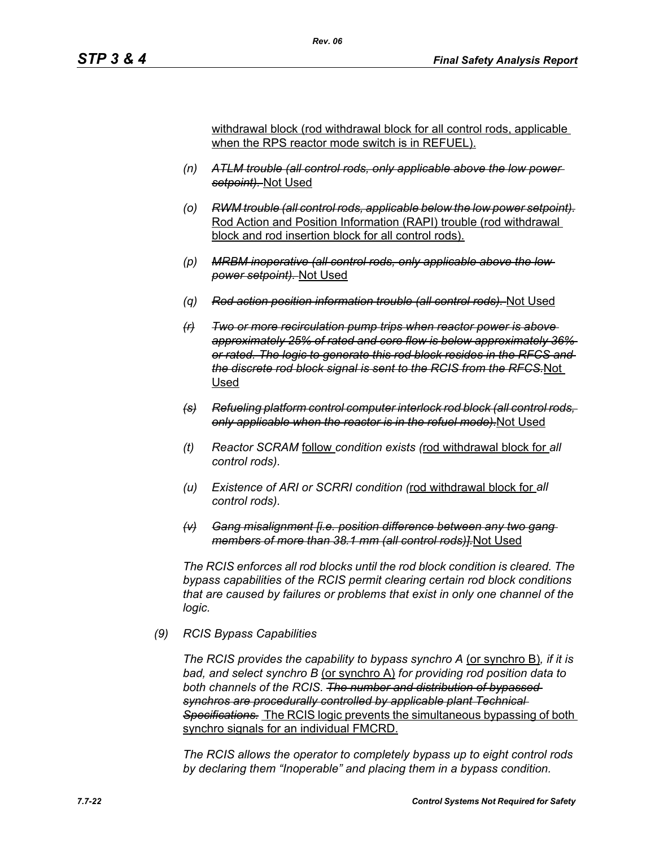withdrawal block (rod withdrawal block for all control rods, applicable when the RPS reactor mode switch is in REFUEL).

- *(n) ATLM trouble (all control rods, only applicable above the low power setpoint).* Not Used
- *(o) RWM trouble (all control rods, applicable below the low power setpoint).* Rod Action and Position Information (RAPI) trouble (rod withdrawal block and rod insertion block for all control rods).
- *(p) MRBM inoperative (all control rods, only applicable above the low power setpoint).* Not Used
- *(q) Rod action position information trouble (all control rods).* Not Used
- *(r) Two or more recirculation pump trips when reactor power is above approximately 25% of rated and core flow is below approximately 36% or rated. The logic to generate this rod block resides in the RFCS and the discrete rod block signal is sent to the RCIS from the RFCS.*Not Used
- *(s) Refueling platform control computer interlock rod block (all control rods, only applicable when the reactor is in the refuel mode).*Not Used
- *(t) Reactor SCRAM* follow *condition exists (*rod withdrawal block for *all control rods).*
- *(u) Existence of ARI or SCRRI condition (*rod withdrawal block for *all control rods).*
- *(v) Gang misalignment [i.e. position difference between any two gang members of more than 38.1 mm (all control rods)].*Not Used

*The RCIS enforces all rod blocks until the rod block condition is cleared. The bypass capabilities of the RCIS permit clearing certain rod block conditions that are caused by failures or problems that exist in only one channel of the logic.*

#### *(9) RCIS Bypass Capabilities*

*The RCIS provides the capability to bypass synchro A* (or synchro B)*, if it is bad, and select synchro B* (or synchro A) *for providing rod position data to both channels of the RCIS. The number and distribution of bypassed synchros are procedurally controlled by applicable plant Technical Specifications.* The RCIS logic prevents the simultaneous bypassing of both synchro signals for an individual FMCRD.

*The RCIS allows the operator to completely bypass up to eight control rods by declaring them "Inoperable" and placing them in a bypass condition.*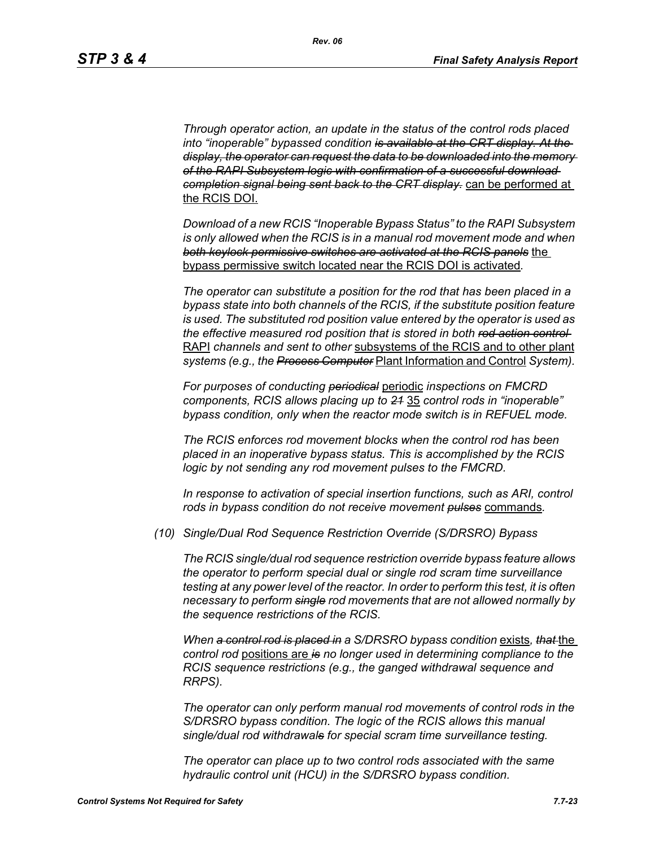*Through operator action, an update in the status of the control rods placed into "inoperable" bypassed condition is available at the CRT display. At the display, the operator can request the data to be downloaded into the memory of the RAPI Subsystem logic with confirmation of a successful download completion signal being sent back to the CRT display.* can be performed at the RCIS DOI.

*Download of a new RCIS "Inoperable Bypass Status" to the RAPI Subsystem is only allowed when the RCIS is in a manual rod movement mode and when both keylock permissive switches are activated at the RCIS panels* the bypass permissive switch located near the RCIS DOI is activated*.*

*The operator can substitute a position for the rod that has been placed in a bypass state into both channels of the RCIS, if the substitute position feature is used. The substituted rod position value entered by the operator is used as the effective measured rod position that is stored in both rod action control*  RAPI *channels and sent to other* subsystems of the RCIS and to other plant *systems (e.g., the Process Computer* Plant Information and Control *System).*

*For purposes of conducting periodical* periodic *inspections on FMCRD components, RCIS allows placing up to 21* 35 *control rods in "inoperable" bypass condition, only when the reactor mode switch is in REFUEL mode.*

*The RCIS enforces rod movement blocks when the control rod has been placed in an inoperative bypass status. This is accomplished by the RCIS logic by not sending any rod movement pulses to the FMCRD.*

*In response to activation of special insertion functions, such as ARI, control rods in bypass condition do not receive movement pulses* commands*.*

*(10) Single/Dual Rod Sequence Restriction Override (S/DRSRO) Bypass*

*The RCIS single/dual rod sequence restriction override bypass feature allows the operator to perform special dual or single rod scram time surveillance testing at any power level of the reactor. In order to perform this test, it is often necessary to perform single rod movements that are not allowed normally by the sequence restrictions of the RCIS.*

*When a control rod is placed in a S/DRSRO bypass condition* exists*, that* the *control rod* positions are *is no longer used in determining compliance to the RCIS sequence restrictions (e.g., the ganged withdrawal sequence and RRPS).*

*The operator can only perform manual rod movements of control rods in the S/DRSRO bypass condition. The logic of the RCIS allows this manual single/dual rod withdrawals for special scram time surveillance testing.*

*The operator can place up to two control rods associated with the same hydraulic control unit (HCU) in the S/DRSRO bypass condition.*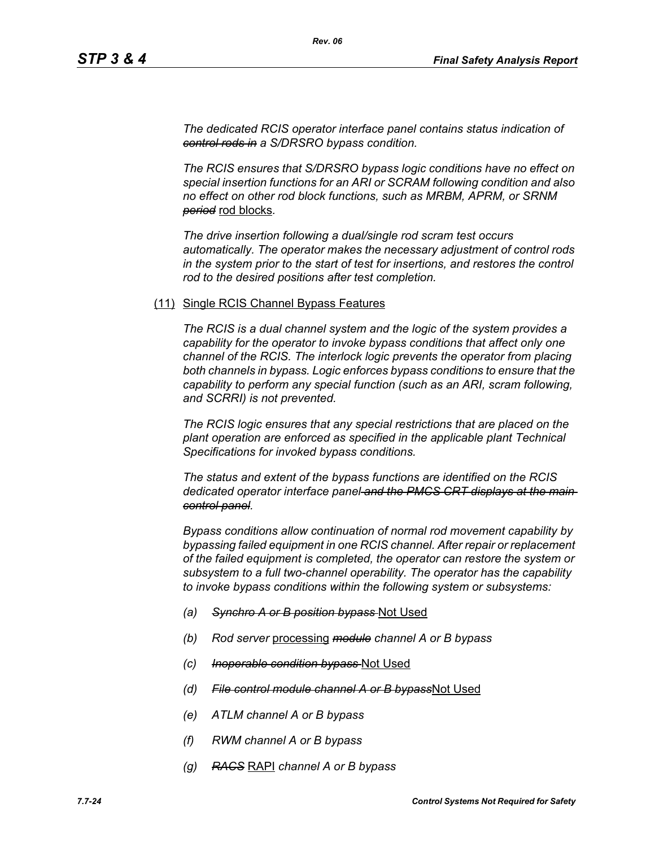*The dedicated RCIS operator interface panel contains status indication of control rods in a S/DRSRO bypass condition.*

*The RCIS ensures that S/DRSRO bypass logic conditions have no effect on special insertion functions for an ARI or SCRAM following condition and also no effect on other rod block functions, such as MRBM, APRM, or SRNM period* rod blocks*.*

*The drive insertion following a dual/single rod scram test occurs automatically. The operator makes the necessary adjustment of control rods in the system prior to the start of test for insertions, and restores the control rod to the desired positions after test completion.*

#### (11) Single RCIS Channel Bypass Features

*The RCIS is a dual channel system and the logic of the system provides a capability for the operator to invoke bypass conditions that affect only one channel of the RCIS. The interlock logic prevents the operator from placing both channels in bypass. Logic enforces bypass conditions to ensure that the capability to perform any special function (such as an ARI, scram following, and SCRRI) is not prevented.*

*The RCIS logic ensures that any special restrictions that are placed on the plant operation are enforced as specified in the applicable plant Technical Specifications for invoked bypass conditions.*

*The status and extent of the bypass functions are identified on the RCIS dedicated operator interface panel and the PMCS CRT displays at the main control panel.*

*Bypass conditions allow continuation of normal rod movement capability by bypassing failed equipment in one RCIS channel. After repair or replacement of the failed equipment is completed, the operator can restore the system or subsystem to a full two-channel operability. The operator has the capability to invoke bypass conditions within the following system or subsystems:*

- *(a) Synchro A or B position bypass* Not Used
- *(b) Rod server* processing *module channel A or B bypass*
- *(c) Inoperable condition bypass* Not Used
- *(d) File control module channel A or B bypass*Not Used
- *(e) ATLM channel A or B bypass*
- *(f) RWM channel A or B bypass*
- *(g) RACS* RAPI *channel A or B bypass*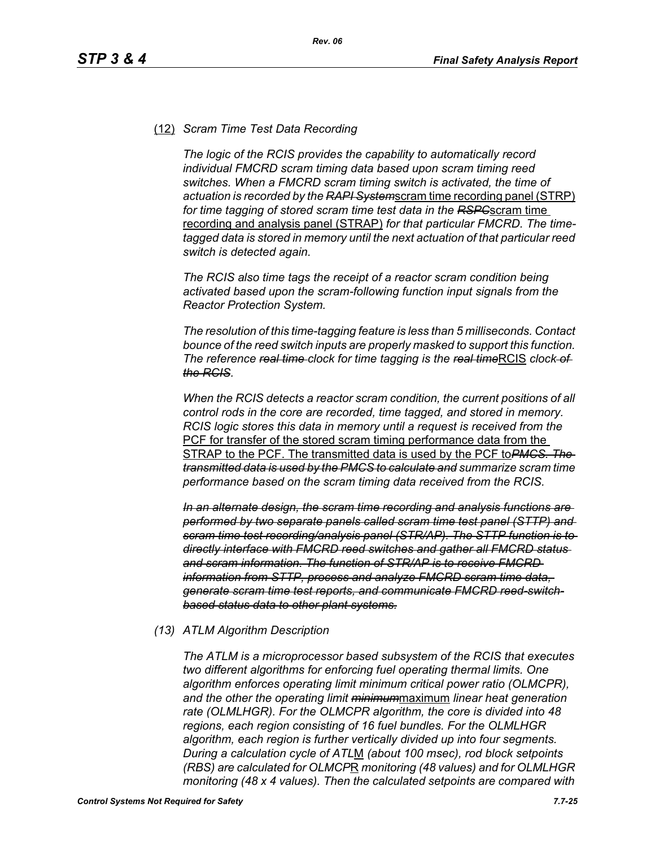### (12) *Scram Time Test Data Recording*

*The logic of the RCIS provides the capability to automatically record individual FMCRD scram timing data based upon scram timing reed switches. When a FMCRD scram timing switch is activated, the time of actuation is recorded by the RAPI System*scram time recording panel (STRP) *for time tagging of stored scram time test data in the RSPC*scram time recording and analysis panel (STRAP) *for that particular FMCRD. The timetagged data is stored in memory until the next actuation of that particular reed switch is detected again.*

*The RCIS also time tags the receipt of a reactor scram condition being activated based upon the scram-following function input signals from the Reactor Protection System.*

*The resolution of this time-tagging feature is less than 5 milliseconds. Contact bounce of the reed switch inputs are properly masked to support this function. The reference <del>real time</del> clock for time tagging is the real timeRCIS clock of the RCIS.*

*When the RCIS detects a reactor scram condition, the current positions of all control rods in the core are recorded, time tagged, and stored in memory. RCIS logic stores this data in memory until a request is received from the*  PCF for transfer of the stored scram timing performance data from the STRAP to the PCF. The transmitted data is used by the PCF to*PMCS. The transmitted data is used by the PMCS to calculate and summarize scram time performance based on the scram timing data received from the RCIS.*

*In an alternate design, the scram time recording and analysis functions are performed by two separate panels called scram time test panel (STTP) and scram time test recording/analysis panel (STR/AP). The STTP function is to directly interface with FMCRD reed switches and gather all FMCRD status and scram information. The function of STR/AP is to receive FMCRD information from STTP, process and analyze FMCRD scram time data, generate scram time test reports, and communicate FMCRD reed-switchbased status data to other plant systems.*

### *(13) ATLM Algorithm Description*

*The ATLM is a microprocessor based subsystem of the RCIS that executes two different algorithms for enforcing fuel operating thermal limits. One algorithm enforces operating limit minimum critical power ratio (OLMCPR), and the other the operating limit minimum*maximum *linear heat generation rate (OLMLHGR). For the OLMCPR algorithm, the core is divided into 48 regions, each region consisting of 16 fuel bundles. For the OLMLHGR algorithm, each region is further vertically divided up into four segments. During a calculation cycle of ATL*M *(about 100 msec), rod block setpoints (RBS) are calculated for OLMCP*R *monitoring (48 values) and for OLMLHGR monitoring (48 x 4 values). Then the calculated setpoints are compared with*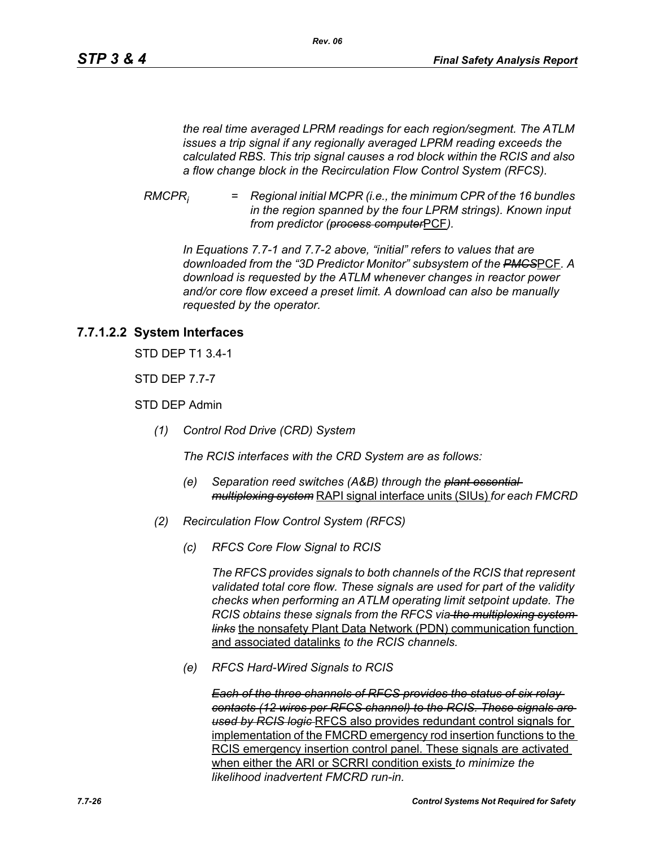*the real time averaged LPRM readings for each region/segment. The ATLM issues a trip signal if any regionally averaged LPRM reading exceeds the calculated RBS. This trip signal causes a rod block within the RCIS and also a flow change block in the Recirculation Flow Control System (RFCS).*

*RMCPRi = Regional initial MCPR (i.e., the minimum CPR of the 16 bundles in the region spanned by the four LPRM strings). Known input from predictor (process computer*PCF*).*

*In Equations 7.7-1 and 7.7-2 above, "initial" refers to values that are downloaded from the "3D Predictor Monitor" subsystem of the PMCS*PCF*. A download is requested by the ATLM whenever changes in reactor power and/or core flow exceed a preset limit. A download can also be manually requested by the operator.*

# **7.7.1.2.2 System Interfaces**

STD DEP T1 3.4-1

STD DEP 7.7-7

STD DEP Admin

*(1) Control Rod Drive (CRD) System*

*The RCIS interfaces with the CRD System are as follows:*

- *(e) Separation reed switches (A&B) through the plant essential multiplexing system* RAPI signal interface units (SIUs) *for each FMCRD*
- *(2) Recirculation Flow Control System (RFCS)*
	- *(c) RFCS Core Flow Signal to RCIS*

*The RFCS provides signals to both channels of the RCIS that represent validated total core flow. These signals are used for part of the validity checks when performing an ATLM operating limit setpoint update. The RCIS obtains these signals from the RFCS via the multiplexing system links* the nonsafety Plant Data Network (PDN) communication function and associated datalinks *to the RCIS channels.*

*(e) RFCS Hard-Wired Signals to RCIS*

*Each of the three channels of RFCS provides the status of six relay contacts (12 wires per RFCS channel) to the RCIS. These signals are used by RCIS logic* RFCS also provides redundant control signals for implementation of the FMCRD emergency rod insertion functions to the RCIS emergency insertion control panel. These signals are activated when either the ARI or SCRRI condition exists *to minimize the likelihood inadvertent FMCRD run-in.*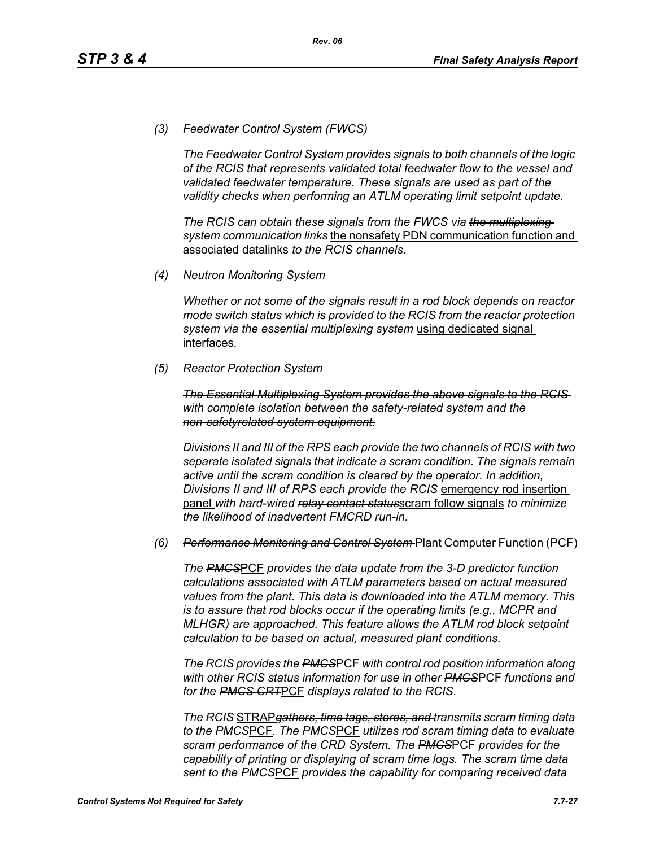*(3) Feedwater Control System (FWCS)*

*The Feedwater Control System provides signals to both channels of the logic of the RCIS that represents validated total feedwater flow to the vessel and validated feedwater temperature. These signals are used as part of the validity checks when performing an ATLM operating limit setpoint update.*

*The RCIS can obtain these signals from the FWCS via the multiplexing system communication links* the nonsafety PDN communication function and associated datalinks *to the RCIS channels.*

*(4) Neutron Monitoring System*

*Whether or not some of the signals result in a rod block depends on reactor mode switch status which is provided to the RCIS from the reactor protection system via the essential multiplexing system* using dedicated signal interfaces*.*

*(5) Reactor Protection System*

*The Essential Multiplexing System provides the above signals to the RCIS with complete isolation between the safety-related system and the non-safetyrelated system equipment.*

*Divisions II and III of the RPS each provide the two channels of RCIS with two separate isolated signals that indicate a scram condition. The signals remain active until the scram condition is cleared by the operator. In addition, Divisions II and III of RPS each provide the RCIS* emergency rod insertion panel *with hard-wired relay contact status*scram follow signals *to minimize the likelihood of inadvertent FMCRD run-in.*

#### *(6) Performance Monitoring and Control System* Plant Computer Function (PCF)

*The PMCS*PCF *provides the data update from the 3-D predictor function calculations associated with ATLM parameters based on actual measured values from the plant. This data is downloaded into the ATLM memory. This is to assure that rod blocks occur if the operating limits (e.g., MCPR and MLHGR) are approached. This feature allows the ATLM rod block setpoint calculation to be based on actual, measured plant conditions.*

*The RCIS provides the PMCS*PCF *with control rod position information along with other RCIS status information for use in other PMCS*PCF *functions and for the PMCS CRT*PCF *displays related to the RCIS.*

*The RCIS* STRAP*gathers, time tags, stores, and transmits scram timing data to the PMCS*PCF*. The PMCS*PCF *utilizes rod scram timing data to evaluate scram performance of the CRD System. The PMCS*PCF *provides for the capability of printing or displaying of scram time logs. The scram time data sent to the PMCS*PCF *provides the capability for comparing received data*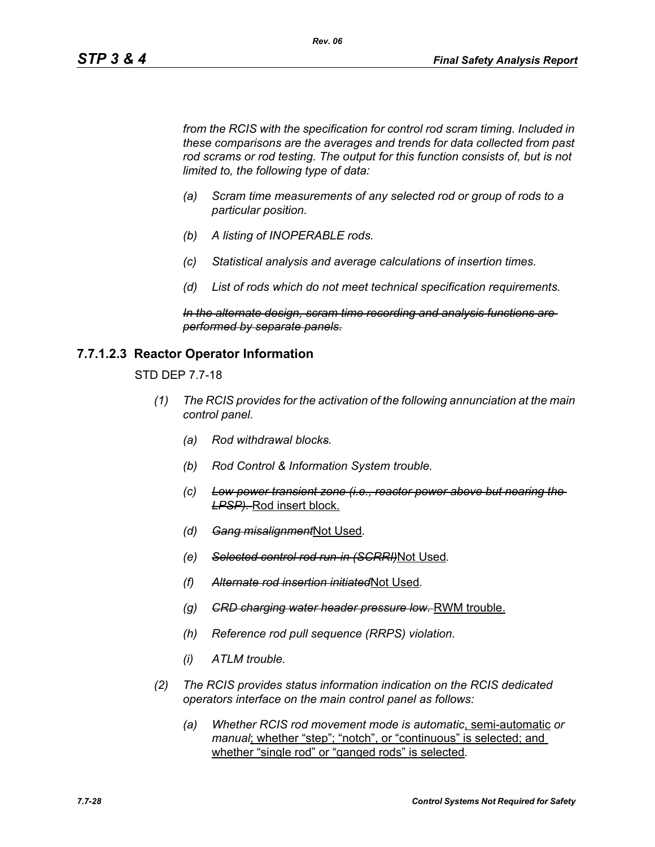*from the RCIS with the specification for control rod scram timing. Included in these comparisons are the averages and trends for data collected from past*  rod scrams or rod testing. The output for this function consists of, but is not *limited to, the following type of data:*

*Rev. 06*

- *(a) Scram time measurements of any selected rod or group of rods to a particular position.*
- *(b) A listing of INOPERABLE rods.*
- *(c) Statistical analysis and average calculations of insertion times.*
- *(d) List of rods which do not meet technical specification requirements.*

*In the alternate design, scram time recording and analysis functions are performed by separate panels.*

### **7.7.1.2.3 Reactor Operator Information**

STD DEP 7.7-18

- *(1) The RCIS provides for the activation of the following annunciation at the main control panel.*
	- *(a) Rod withdrawal blocks.*
	- *(b) Rod Control & Information System trouble.*
	- *(c) Low power transient zone (i.e., reactor power above but nearing the LPSP).* Rod insert block.
	- *(d) Gang misalignment*Not Used*.*
	- *(e) Selected control rod run-in (SCRRI)*Not Used*.*
	- *(f) Alternate rod insertion initiated*Not Used*.*
	- *(g) CRD charging water header pressure low.* RWM trouble.
	- *(h) Reference rod pull sequence (RRPS) violation.*
	- *(i) ATLM trouble.*
- *(2) The RCIS provides status information indication on the RCIS dedicated operators interface on the main control panel as follows:*
	- *(a) Whether RCIS rod movement mode is automatic*, semi-automatic *or manual*; whether "step"; "notch", or "continuous" is selected; and whether "single rod" or "ganged rods" is selected*.*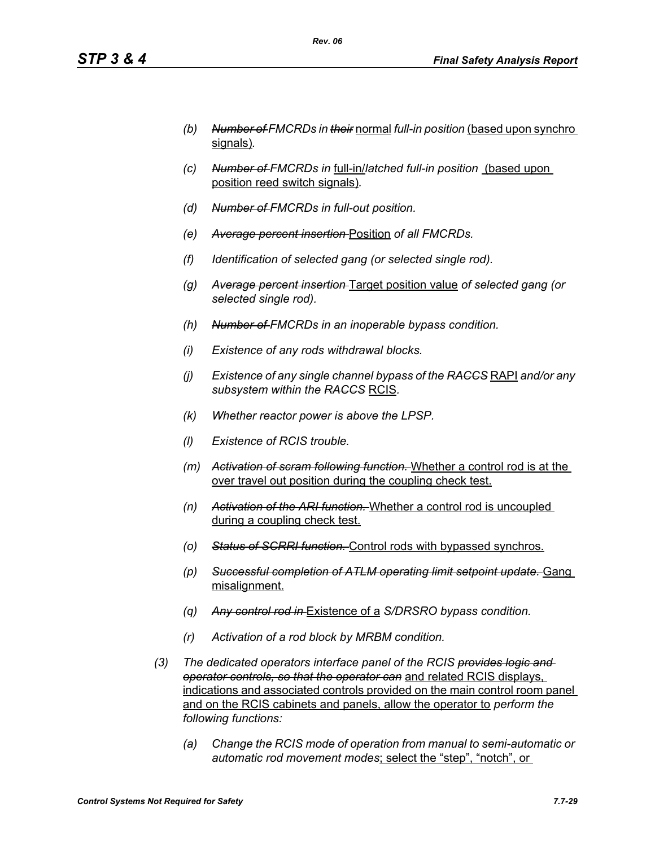- *(b) Number of FMCRDs in their* normal *full-in position* (based upon synchro signals)*.*
- *(c) Number of FMCRDs in* full-in/*latched full-in position* (based upon position reed switch signals)*.*
- *(d) Number of FMCRDs in full-out position.*
- *(e) Average percent insertion* Position *of all FMCRDs.*
- *(f) Identification of selected gang (or selected single rod).*
- *(g) Average percent insertion* Target position value *of selected gang (or selected single rod).*
- *(h) Number of FMCRDs in an inoperable bypass condition.*
- *(i) Existence of any rods withdrawal blocks.*
- *(j) Existence of any single channel bypass of the RACCS* RAPI *and/or any subsystem within the RACCS* RCIS*.*
- *(k) Whether reactor power is above the LPSP.*
- *(l) Existence of RCIS trouble.*
- *(m) Activation of scram following function.* Whether a control rod is at the over travel out position during the coupling check test.
- *(n) Activation of the ARI function.* Whether a control rod is uncoupled during a coupling check test.
- *(o) Status of SCRRI function.* Control rods with bypassed synchros.
- *(p) Successful completion of ATLM operating limit setpoint update.* Gang misalignment.
- *(q) Any control rod in* Existence of a *S/DRSRO bypass condition.*
- *(r) Activation of a rod block by MRBM condition.*
- *(3) The dedicated operators interface panel of the RCIS provides logic and operator controls, so that the operator can* and related RCIS displays, indications and associated controls provided on the main control room panel and on the RCIS cabinets and panels, allow the operator to *perform the following functions:*
	- *(a) Change the RCIS mode of operation from manual to semi-automatic or automatic rod movement modes*; select the "step", "notch", or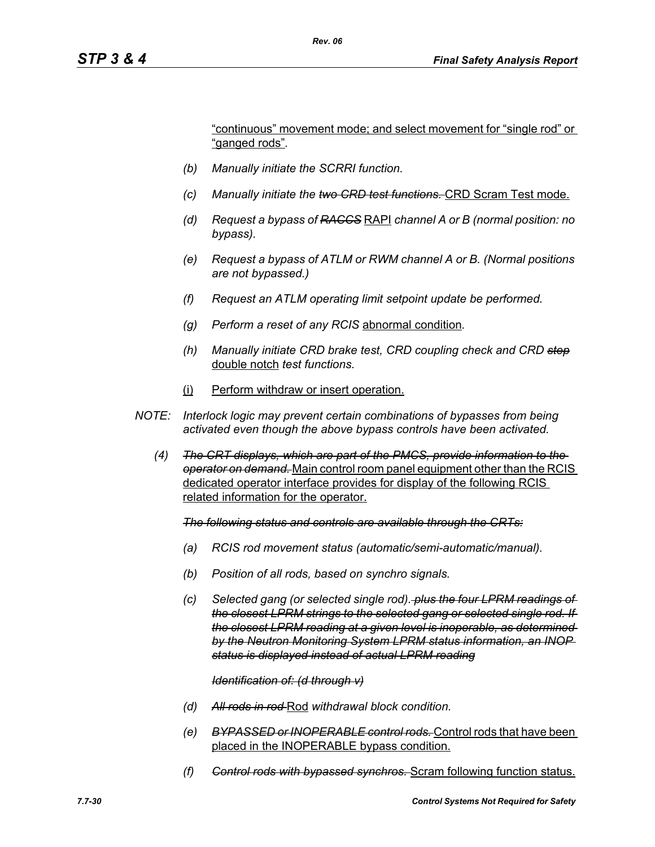"continuous" movement mode; and select movement for "single rod" or "ganged rods"*.*

- *(b) Manually initiate the SCRRI function.*
- *(c) Manually initiate the two CRD test functions.* CRD Scram Test mode.
- *(d) Request a bypass of RACCS* RAPI *channel A or B (normal position: no bypass).*
- *(e) Request a bypass of ATLM or RWM channel A or B. (Normal positions are not bypassed.)*
- *(f) Request an ATLM operating limit setpoint update be performed.*
- *(g) Perform a reset of any RCIS* abnormal condition*.*
- *(h) Manually initiate CRD brake test, CRD coupling check and CRD step* double notch *test functions.*
- (i) Perform withdraw or insert operation.
- *NOTE: Interlock logic may prevent certain combinations of bypasses from being activated even though the above bypass controls have been activated.*
	- *(4) The CRT displays, which are part of the PMCS, provide information to the operator on demand.* Main control room panel equipment other than the RCIS dedicated operator interface provides for display of the following RCIS related information for the operator.

*The following status and controls are available through the CRTs:*

- *(a) RCIS rod movement status (automatic/semi-automatic/manual).*
- *(b) Position of all rods, based on synchro signals.*
- *(c) Selected gang (or selected single rod). plus the four LPRM readings of the closest LPRM strings to the selected gang or selected single rod. If the closest LPRM reading at a given level is inoperable, as determined by the Neutron Monitoring System LPRM status information, an INOP status is displayed instead of actual LPRM reading*

#### *Identification of: (d through v)*

- *(d) All rods in rod* Rod *withdrawal block condition.*
- *(e) BYPASSED or INOPERABLE control rods.* Control rods that have been placed in the INOPERABLE bypass condition.
- *(f) Control rods with bypassed synchros.* Scram following function status.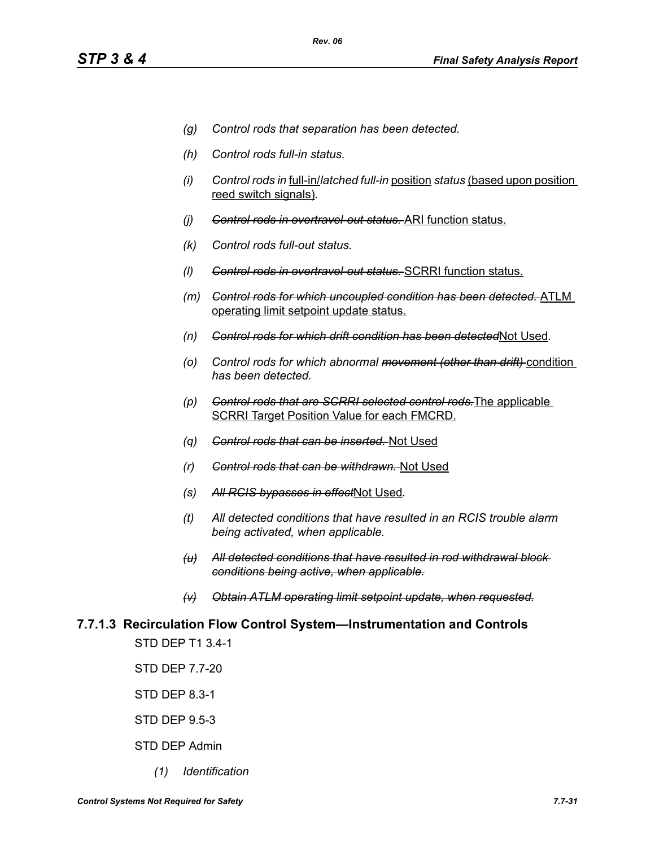- *(g) Control rods that separation has been detected.*
- *(h) Control rods full-in status.*
- *(i) Control rods in* full-in/*latched full-in* position *status* (based upon position reed switch signals)*.*
- *(j) Control rods in overtravel-out status.* ARI function status.
- *(k) Control rods full-out status.*
- *(l) Control rods in overtravel-out status.* SCRRI function status.
- *(m) Control rods for which uncoupled condition has been detected.* ATLM operating limit setpoint update status.
- *(n) Control rods for which drift condition has been detected*Not Used*.*
- *(o) Control rods for which abnormal movement (other than drift)* condition *has been detected.*
- *(p) Control rods that are SCRRI selected control rods.*The applicable SCRRI Target Position Value for each FMCRD.
- *(q) Control rods that can be inserted.* Not Used
- *(r) Control rods that can be withdrawn.* Not Used
- *(s) All RCIS bypasses in effect*Not Used*.*
- *(t) All detected conditions that have resulted in an RCIS trouble alarm being activated, when applicable.*
- *(u) All detected conditions that have resulted in rod withdrawal block conditions being active, when applicable.*
- *(v) Obtain ATLM operating limit setpoint update, when requested.*

# **7.7.1.3 Recirculation Flow Control System—Instrumentation and Controls**

STD DEP T1 3.4-1

STD DEP 7.7-20

STD DEP 8.3-1

STD DEP 9.5-3

- STD DEP Admin
	- *(1) Identification*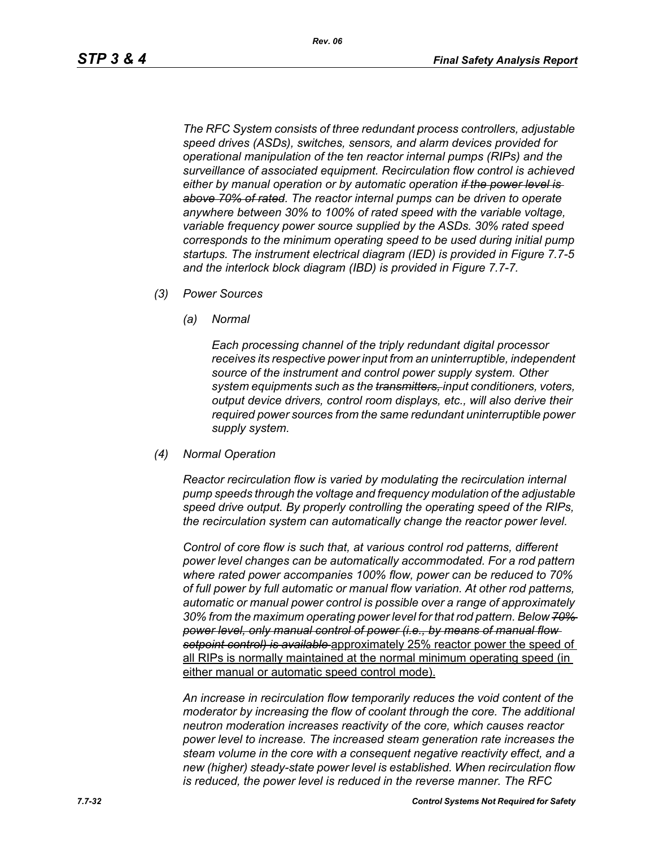*The RFC System consists of three redundant process controllers, adjustable speed drives (ASDs), switches, sensors, and alarm devices provided for operational manipulation of the ten reactor internal pumps (RIPs) and the surveillance of associated equipment. Recirculation flow control is achieved either by manual operation or by automatic operation if the power level is above 70% of rated. The reactor internal pumps can be driven to operate anywhere between 30% to 100% of rated speed with the variable voltage, variable frequency power source supplied by the ASDs. 30% rated speed corresponds to the minimum operating speed to be used during initial pump startups. The instrument electrical diagram (IED) is provided in Figure 7.7-5 and the interlock block diagram (IBD) is provided in Figure 7.7-7.*

- *(3) Power Sources*
	- *(a) Normal*

*Each processing channel of the triply redundant digital processor receives its respective power input from an uninterruptible, independent source of the instrument and control power supply system. Other system equipments such as the transmitters, input conditioners, voters, output device drivers, control room displays, etc., will also derive their required power sources from the same redundant uninterruptible power supply system.*

*(4) Normal Operation*

*Reactor recirculation flow is varied by modulating the recirculation internal pump speeds through the voltage and frequency modulation of the adjustable speed drive output. By properly controlling the operating speed of the RIPs, the recirculation system can automatically change the reactor power level.*

*Control of core flow is such that, at various control rod patterns, different power level changes can be automatically accommodated. For a rod pattern where rated power accompanies 100% flow, power can be reduced to 70% of full power by full automatic or manual flow variation. At other rod patterns, automatic or manual power control is possible over a range of approximately 30% from the maximum operating power level for that rod pattern. Below 70% power level, only manual control of power (i.e., by means of manual flow setpoint control) is available* approximately 25% reactor power the speed of all RIPs is normally maintained at the normal minimum operating speed (in either manual or automatic speed control mode).

*An increase in recirculation flow temporarily reduces the void content of the moderator by increasing the flow of coolant through the core. The additional neutron moderation increases reactivity of the core, which causes reactor power level to increase. The increased steam generation rate increases the steam volume in the core with a consequent negative reactivity effect, and a new (higher) steady-state power level is established. When recirculation flow is reduced, the power level is reduced in the reverse manner. The RFC*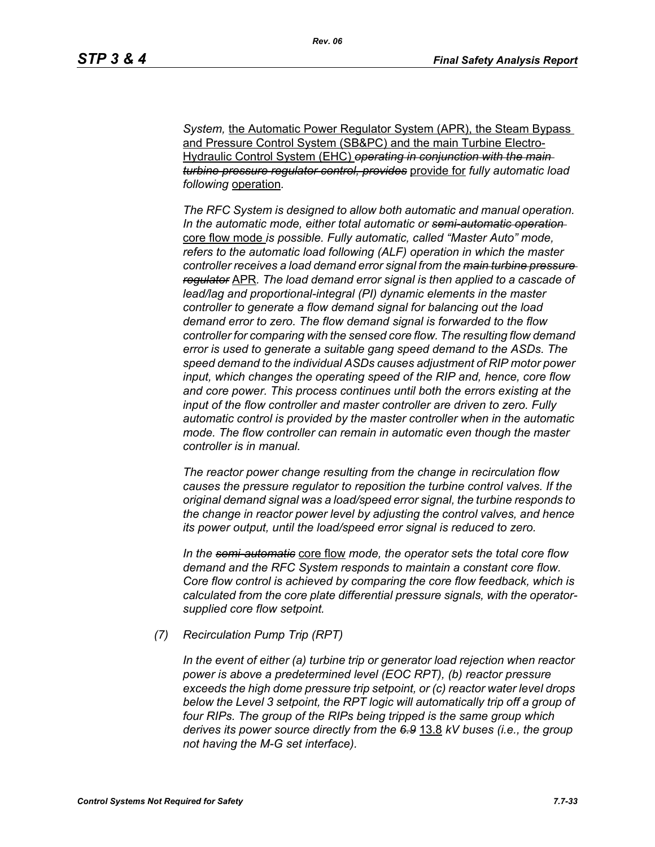**System, the Automatic Power Regulator System (APR), the Steam Bypass** and Pressure Control System (SB&PC) and the main Turbine Electro-Hydraulic Control System (EHC) *operating in conjunction with the main turbine pressure regulator control, provides* provide for *fully automatic load following* operation*.* 

*The RFC System is designed to allow both automatic and manual operation. In the automatic mode, either total automatic or semi-automatic operation*  core flow mode *is possible. Fully automatic, called "Master Auto" mode, refers to the automatic load following (ALF) operation in which the master controller receives a load demand error signal from the main turbine pressure regulator* APR*. The load demand error signal is then applied to a cascade of lead/lag and proportional-integral (PI) dynamic elements in the master controller to generate a flow demand signal for balancing out the load demand error to zero. The flow demand signal is forwarded to the flow controller for comparing with the sensed core flow. The resulting flow demand error is used to generate a suitable gang speed demand to the ASDs. The speed demand to the individual ASDs causes adjustment of RIP motor power input, which changes the operating speed of the RIP and, hence, core flow and core power. This process continues until both the errors existing at the input of the flow controller and master controller are driven to zero. Fully automatic control is provided by the master controller when in the automatic mode. The flow controller can remain in automatic even though the master controller is in manual.*

*The reactor power change resulting from the change in recirculation flow causes the pressure regulator to reposition the turbine control valves. If the original demand signal was a load/speed error signal, the turbine responds to the change in reactor power level by adjusting the control valves, and hence its power output, until the load/speed error signal is reduced to zero.*

*In the semi-automatic* core flow *mode, the operator sets the total core flow demand and the RFC System responds to maintain a constant core flow. Core flow control is achieved by comparing the core flow feedback, which is calculated from the core plate differential pressure signals, with the operatorsupplied core flow setpoint.*

*(7) Recirculation Pump Trip (RPT)*

*In the event of either (a) turbine trip or generator load rejection when reactor power is above a predetermined level (EOC RPT), (b) reactor pressure exceeds the high dome pressure trip setpoint, or (c) reactor water level drops*  below the Level 3 setpoint, the RPT logic will automatically trip off a group of *four RIPs. The group of the RIPs being tripped is the same group which derives its power source directly from the 6.9* 13.8 *kV buses (i.e., the group not having the M-G set interface).*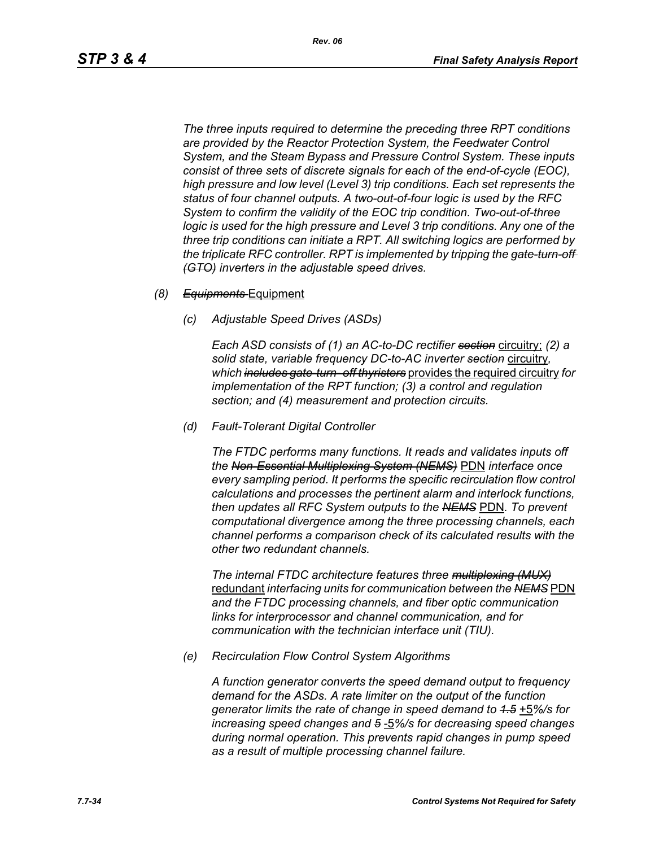*The three inputs required to determine the preceding three RPT conditions are provided by the Reactor Protection System, the Feedwater Control System, and the Steam Bypass and Pressure Control System. These inputs consist of three sets of discrete signals for each of the end-of-cycle (EOC), high pressure and low level (Level 3) trip conditions. Each set represents the status of four channel outputs. A two-out-of-four logic is used by the RFC System to confirm the validity of the EOC trip condition. Two-out-of-three logic is used for the high pressure and Level 3 trip conditions. Any one of the three trip conditions can initiate a RPT. All switching logics are performed by the triplicate RFC controller. RPT is implemented by tripping the gate-turn-off (GTO) inverters in the adjustable speed drives.*

- *(8) Equipments* Equipment
	- *(c) Adjustable Speed Drives (ASDs)*

*Each ASD consists of (1) an AC-to-DC rectifier section* circuitry; *(2) a solid state, variable frequency DC-to-AC inverter section* circuitry*, which includes gate-turn- off thyristers* provides the required circuitry *for implementation of the RPT function; (3) a control and regulation section; and (4) measurement and protection circuits.*

*(d) Fault-Tolerant Digital Controller*

*The FTDC performs many functions. It reads and validates inputs off the Non-Essential Multiplexing System (NEMS)* PDN *interface once every sampling period. It performs the specific recirculation flow control calculations and processes the pertinent alarm and interlock functions, then updates all RFC System outputs to the NEMS* PDN*. To prevent computational divergence among the three processing channels, each channel performs a comparison check of its calculated results with the other two redundant channels.*

*The internal FTDC architecture features three multiplexing (MUX)* redundant *interfacing units for communication between the NEMS* PDN *and the FTDC processing channels, and fiber optic communication links for interprocessor and channel communication, and for communication with the technician interface unit (TIU).*

*(e) Recirculation Flow Control System Algorithms*

*A function generator converts the speed demand output to frequency demand for the ASDs. A rate limiter on the output of the function generator limits the rate of change in speed demand to 1.5* +5*%/s for increasing speed changes and 5* -5*%/s for decreasing speed changes during normal operation. This prevents rapid changes in pump speed as a result of multiple processing channel failure.*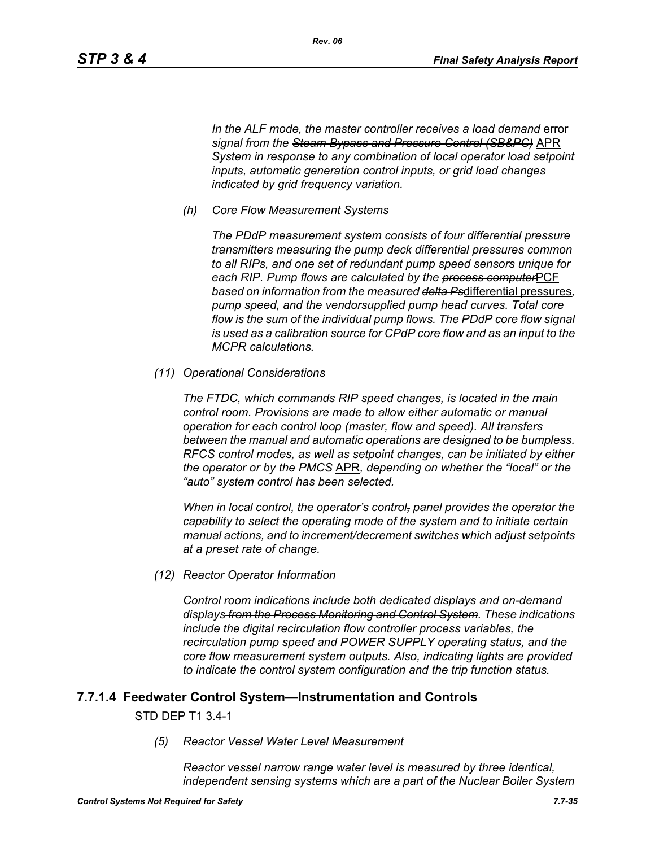In the ALF mode, the master controller receives a load demand error *signal from the Steam Bypass and Pressure Control (SB&PC)* APR *System in response to any combination of local operator load setpoint inputs, automatic generation control inputs, or grid load changes indicated by grid frequency variation.*

*(h) Core Flow Measurement Systems*

*The PDdP measurement system consists of four differential pressure transmitters measuring the pump deck differential pressures common to all RIPs, and one set of redundant pump speed sensors unique for each RIP. Pump flows are calculated by the process computer*PCF *based on information from the measured delta Ps*differential pressures*, pump speed, and the vendorsupplied pump head curves. Total core flow is the sum of the individual pump flows. The PDdP core flow signal is used as a calibration source for CPdP core flow and as an input to the MCPR calculations.*

*(11) Operational Considerations*

*The FTDC, which commands RIP speed changes, is located in the main control room. Provisions are made to allow either automatic or manual operation for each control loop (master, flow and speed). All transfers between the manual and automatic operations are designed to be bumpless. RFCS control modes, as well as setpoint changes, can be initiated by either the operator or by the PMCS* APR*, depending on whether the "local" or the "auto" system control has been selected.*

*When in local control, the operator's control, panel provides the operator the capability to select the operating mode of the system and to initiate certain manual actions, and to increment/decrement switches which adjust setpoints at a preset rate of change.*

*(12) Reactor Operator Information*

*Control room indications include both dedicated displays and on-demand displays from the Process Monitoring and Control System. These indications include the digital recirculation flow controller process variables, the recirculation pump speed and POWER SUPPLY operating status, and the core flow measurement system outputs. Also, indicating lights are provided to indicate the control system configuration and the trip function status.*

### **7.7.1.4 Feedwater Control System—Instrumentation and Controls**

#### STD DEP T1 3.4-1

*(5) Reactor Vessel Water Level Measurement* 

*Reactor vessel narrow range water level is measured by three identical, independent sensing systems which are a part of the Nuclear Boiler System*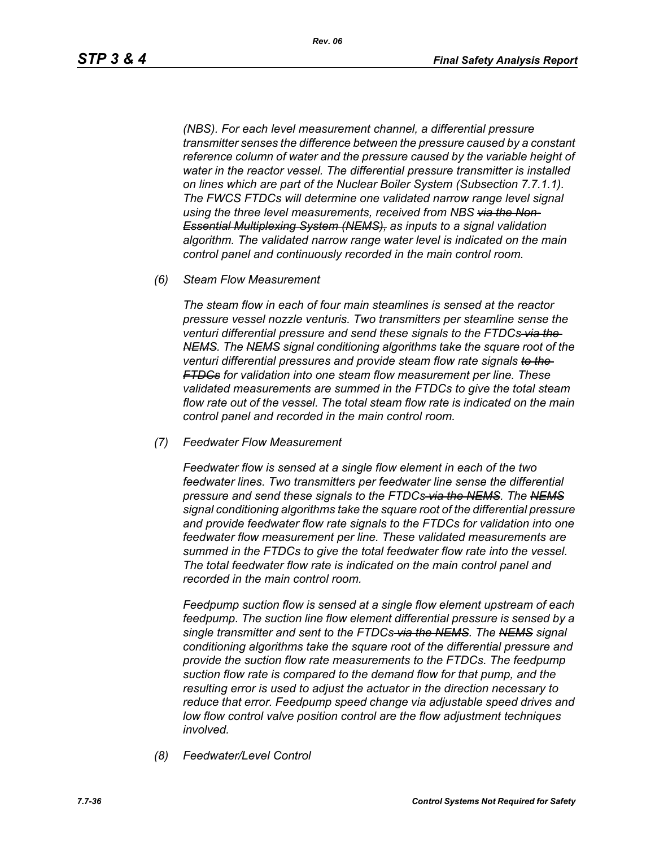*(NBS). For each level measurement channel, a differential pressure transmitter senses the difference between the pressure caused by a constant reference column of water and the pressure caused by the variable height of water in the reactor vessel. The differential pressure transmitter is installed on lines which are part of the Nuclear Boiler System (Subsection 7.7.1.1). The FWCS FTDCs will determine one validated narrow range level signal using the three level measurements, received from NBS via the Non-Essential Multiplexing System (NEMS), as inputs to a signal validation algorithm. The validated narrow range water level is indicated on the main control panel and continuously recorded in the main control room.*

*(6) Steam Flow Measurement*

*The steam flow in each of four main steamlines is sensed at the reactor pressure vessel nozzle venturis. Two transmitters per steamline sense the venturi differential pressure and send these signals to the FTDCs via the NEMS. The NEMS signal conditioning algorithms take the square root of the venturi differential pressures and provide steam flow rate signals to the FTDCs for validation into one steam flow measurement per line. These validated measurements are summed in the FTDCs to give the total steam flow rate out of the vessel. The total steam flow rate is indicated on the main control panel and recorded in the main control room.*

*(7) Feedwater Flow Measurement*

*Feedwater flow is sensed at a single flow element in each of the two feedwater lines. Two transmitters per feedwater line sense the differential pressure and send these signals to the FTDCs via the NEMS. The NEMS signal conditioning algorithms take the square root of the differential pressure and provide feedwater flow rate signals to the FTDCs for validation into one feedwater flow measurement per line. These validated measurements are summed in the FTDCs to give the total feedwater flow rate into the vessel. The total feedwater flow rate is indicated on the main control panel and recorded in the main control room.*

*Feedpump suction flow is sensed at a single flow element upstream of each feedpump. The suction line flow element differential pressure is sensed by a single transmitter and sent to the FTDCs via the NEMS. The NEMS signal conditioning algorithms take the square root of the differential pressure and provide the suction flow rate measurements to the FTDCs. The feedpump suction flow rate is compared to the demand flow for that pump, and the resulting error is used to adjust the actuator in the direction necessary to reduce that error. Feedpump speed change via adjustable speed drives and low flow control valve position control are the flow adjustment techniques involved.*

*(8) Feedwater/Level Control*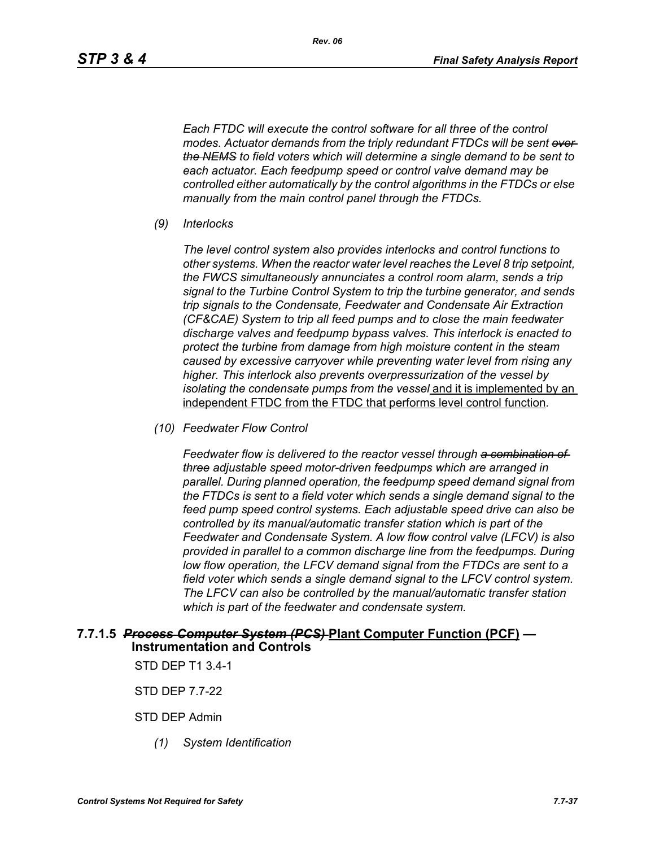*Each FTDC will execute the control software for all three of the control*  modes. Actuator demands from the triply redundant FTDCs will be sent over *the NEMS to field voters which will determine a single demand to be sent to each actuator. Each feedpump speed or control valve demand may be controlled either automatically by the control algorithms in the FTDCs or else manually from the main control panel through the FTDCs.*

*(9) Interlocks*

*The level control system also provides interlocks and control functions to other systems. When the reactor water level reaches the Level 8 trip setpoint, the FWCS simultaneously annunciates a control room alarm, sends a trip signal to the Turbine Control System to trip the turbine generator, and sends trip signals to the Condensate, Feedwater and Condensate Air Extraction (CF&CAE) System to trip all feed pumps and to close the main feedwater discharge valves and feedpump bypass valves. This interlock is enacted to protect the turbine from damage from high moisture content in the steam caused by excessive carryover while preventing water level from rising any higher. This interlock also prevents overpressurization of the vessel by isolating the condensate pumps from the vessel* and it is implemented by an independent FTDC from the FTDC that performs level control function*.*

*(10) Feedwater Flow Control*

*Feedwater flow is delivered to the reactor vessel through a combination of three adjustable speed motor-driven feedpumps which are arranged in parallel. During planned operation, the feedpump speed demand signal from the FTDCs is sent to a field voter which sends a single demand signal to the feed pump speed control systems. Each adjustable speed drive can also be controlled by its manual/automatic transfer station which is part of the Feedwater and Condensate System. A low flow control valve (LFCV) is also provided in parallel to a common discharge line from the feedpumps. During low flow operation, the LFCV demand signal from the FTDCs are sent to a field voter which sends a single demand signal to the LFCV control system. The LFCV can also be controlled by the manual/automatic transfer station which is part of the feedwater and condensate system.*

#### **7.7.1.5** *Process Computer System (PCS)* **Plant Computer Function (PCF) — Instrumentation and Controls**

STD DEP T1 3.4-1

STD DEP 7.7-22

STD DEP Admin

*(1) System Identification*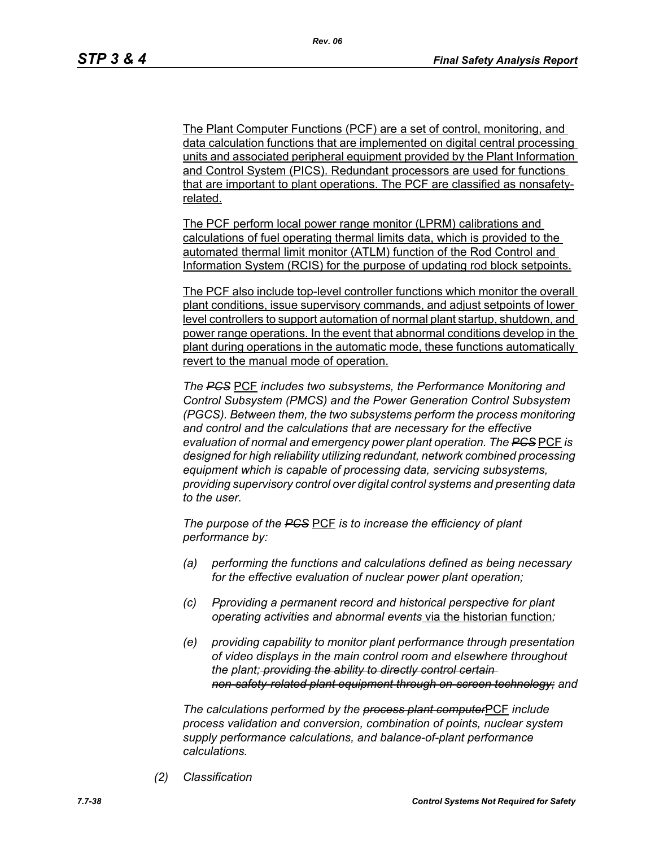The Plant Computer Functions (PCF) are a set of control, monitoring, and data calculation functions that are implemented on digital central processing units and associated peripheral equipment provided by the Plant Information and Control System (PICS). Redundant processors are used for functions that are important to plant operations. The PCF are classified as nonsafetyrelated.

The PCF perform local power range monitor (LPRM) calibrations and calculations of fuel operating thermal limits data, which is provided to the automated thermal limit monitor (ATLM) function of the Rod Control and Information System (RCIS) for the purpose of updating rod block setpoints.

The PCF also include top-level controller functions which monitor the overall plant conditions, issue supervisory commands, and adjust setpoints of lower level controllers to support automation of normal plant startup, shutdown, and power range operations. In the event that abnormal conditions develop in the plant during operations in the automatic mode, these functions automatically revert to the manual mode of operation.

*The PCS* PCF *includes two subsystems, the Performance Monitoring and Control Subsystem (PMCS) and the Power Generation Control Subsystem (PGCS). Between them, the two subsystems perform the process monitoring and control and the calculations that are necessary for the effective evaluation of normal and emergency power plant operation. The PCS* PCF *is designed for high reliability utilizing redundant, network combined processing equipment which is capable of processing data, servicing subsystems, providing supervisory control over digital control systems and presenting data to the user.*

*The purpose of the PCS* PCF *is to increase the efficiency of plant performance by:*

- *(a) performing the functions and calculations defined as being necessary for the effective evaluation of nuclear power plant operation;*
- *(c) Pproviding a permanent record and historical perspective for plant operating activities and abnormal events* via the historian function*;*
- *(e) providing capability to monitor plant performance through presentation of video displays in the main control room and elsewhere throughout the plant; providing the ability to directly control certain non-safety-related plant equipment through on-screen technology; and*

*The calculations performed by the process plant computer*PCF *include process validation and conversion, combination of points, nuclear system supply performance calculations, and balance-of-plant performance calculations.*

*(2) Classification*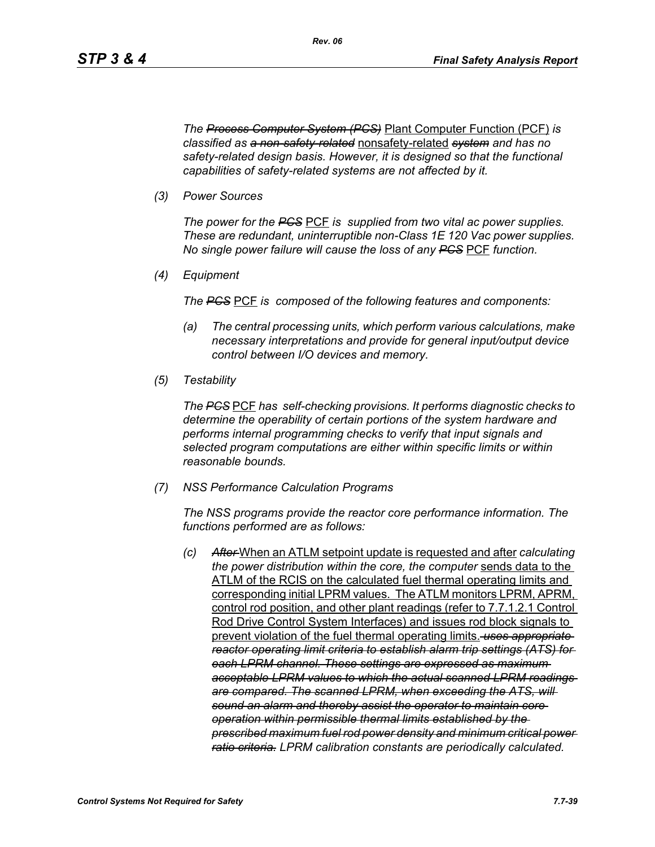*The Process Computer System (PCS)* Plant Computer Function (PCF) *is classified as a non-safety-related* nonsafety-related *system and has no safety-related design basis. However, it is designed so that the functional capabilities of safety-related systems are not affected by it.*

*(3) Power Sources*

*The power for the PCS* PCF *is supplied from two vital ac power supplies. These are redundant, uninterruptible non-Class 1E 120 Vac power supplies. No single power failure will cause the loss of any PCS* PCF *function.*

*(4) Equipment*

*The PCS* PCF *is composed of the following features and components:*

- *(a) The central processing units, which perform various calculations, make necessary interpretations and provide for general input/output device control between I/O devices and memory.*
- *(5) Testability*

*The PCS* PCF *has self-checking provisions. It performs diagnostic checks to determine the operability of certain portions of the system hardware and performs internal programming checks to verify that input signals and selected program computations are either within specific limits or within reasonable bounds.*

*(7) NSS Performance Calculation Programs*

*The NSS programs provide the reactor core performance information. The functions performed are as follows:*

*(c) After* When an ATLM setpoint update is requested and after *calculating the power distribution within the core, the computer* sends data to the ATLM of the RCIS on the calculated fuel thermal operating limits and corresponding initial LPRM values. The ATLM monitors LPRM, APRM, control rod position, and other plant readings (refer to 7.7.1.2.1 Control Rod Drive Control System Interfaces) and issues rod block signals to prevent violation of the fuel thermal operating limits. *uses appropriate reactor operating limit criteria to establish alarm trip settings (ATS) for each LPRM channel. These settings are expressed as maximum acceptable LPRM values to which the actual scanned LPRM readings are compared. The scanned LPRM, when exceeding the ATS, will sound an alarm and thereby assist the operator to maintain core operation within permissible thermal limits established by the prescribed maximum fuel rod power density and minimum critical power ratio criteria. LPRM calibration constants are periodically calculated.*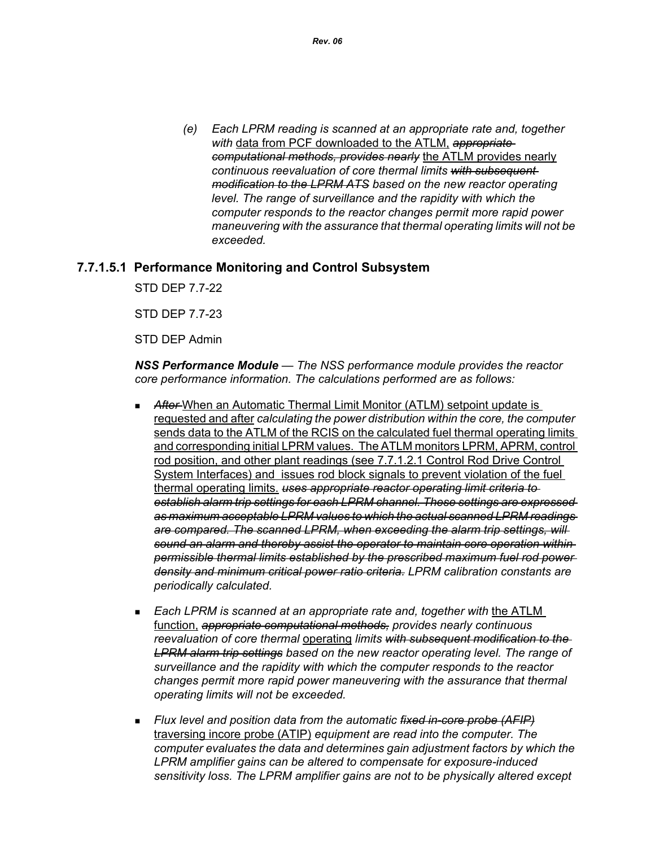*(e) Each LPRM reading is scanned at an appropriate rate and, together with* data from PCF downloaded to the ATLM, *appropriate computational methods, provides nearly* the ATLM provides nearly *continuous reevaluation of core thermal limits with subsequent modification to the LPRM ATS based on the new reactor operating level. The range of surveillance and the rapidity with which the computer responds to the reactor changes permit more rapid power maneuvering with the assurance that thermal operating limits will not be exceeded.*

### **7.7.1.5.1 Performance Monitoring and Control Subsystem**

STD DEP 7.7-22

STD DEP 7.7-23

STD DEP Admin

*NSS Performance Module — The NSS performance module provides the reactor core performance information. The calculations performed are as follows:*

- After-When an Automatic Thermal Limit Monitor (ATLM) setpoint update is requested and after *calculating the power distribution within the core, the computer*  sends data to the ATLM of the RCIS on the calculated fuel thermal operating limits and corresponding initial LPRM values. The ATLM monitors LPRM, APRM, control rod position, and other plant readings (see 7.7.1.2.1 Control Rod Drive Control System Interfaces) and issues rod block signals to prevent violation of the fuel thermal operating limits. *uses appropriate reactor operating limit criteria to establish alarm trip settings for each LPRM channel. These settings are expressed as maximum acceptable LPRM values to which the actual scanned LPRM readings are compared. The scanned LPRM, when exceeding the alarm trip settings, will sound an alarm and thereby assist the operator to maintain core operation within permissible thermal limits established by the prescribed maximum fuel rod power density and minimum critical power ratio criteria. LPRM calibration constants are periodically calculated.*
- *Each LPRM is scanned at an appropriate rate and, together with* the ATLM function, *appropriate computational methods, provides nearly continuous reevaluation of core thermal* operating *limits with subsequent modification to the LPRM alarm trip settings based on the new reactor operating level. The range of surveillance and the rapidity with which the computer responds to the reactor changes permit more rapid power maneuvering with the assurance that thermal operating limits will not be exceeded.*
- *Flux level and position data from the automatic fixed in-core probe (AFIP)* traversing incore probe (ATIP) *equipment are read into the computer. The computer evaluates the data and determines gain adjustment factors by which the LPRM amplifier gains can be altered to compensate for exposure-induced sensitivity loss. The LPRM amplifier gains are not to be physically altered except*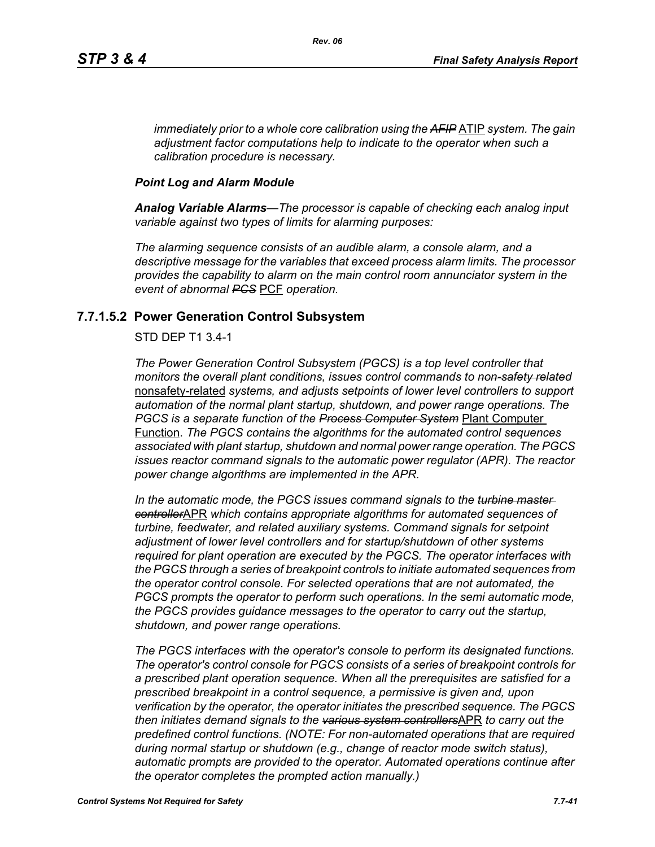*immediately prior to a whole core calibration using the AFIP* ATIP *system. The gain adjustment factor computations help to indicate to the operator when such a calibration procedure is necessary.*

### *Point Log and Alarm Module*

*Analog Variable Alarms—The processor is capable of checking each analog input variable against two types of limits for alarming purposes:*

*The alarming sequence consists of an audible alarm, a console alarm, and a descriptive message for the variables that exceed process alarm limits. The processor provides the capability to alarm on the main control room annunciator system in the event of abnormal PCS* PCF *operation.*

# **7.7.1.5.2 Power Generation Control Subsystem**

### STD DEP T1 3.4-1

*The Power Generation Control Subsystem (PGCS) is a top level controller that monitors the overall plant conditions, issues control commands to non-safety related* nonsafety-related *systems, and adjusts setpoints of lower level controllers to support automation of the normal plant startup, shutdown, and power range operations. The PGCS is a separate function of the Process Computer System* Plant Computer Function. *The PGCS contains the algorithms for the automated control sequences associated with plant startup, shutdown and normal power range operation. The PGCS issues reactor command signals to the automatic power regulator (APR). The reactor power change algorithms are implemented in the APR.*

*In the automatic mode, the PGCS issues command signals to the turbine master controller*APR *which contains appropriate algorithms for automated sequences of turbine, feedwater, and related auxiliary systems. Command signals for setpoint adjustment of lower level controllers and for startup/shutdown of other systems required for plant operation are executed by the PGCS. The operator interfaces with the PGCS through a series of breakpoint controls to initiate automated sequences from the operator control console. For selected operations that are not automated, the PGCS prompts the operator to perform such operations. In the semi automatic mode, the PGCS provides guidance messages to the operator to carry out the startup, shutdown, and power range operations.*

*The PGCS interfaces with the operator's console to perform its designated functions. The operator's control console for PGCS consists of a series of breakpoint controls for a prescribed plant operation sequence. When all the prerequisites are satisfied for a prescribed breakpoint in a control sequence, a permissive is given and, upon verification by the operator, the operator initiates the prescribed sequence. The PGCS then initiates demand signals to the various system controllers*APR *to carry out the predefined control functions. (NOTE: For non-automated operations that are required during normal startup or shutdown (e.g., change of reactor mode switch status), automatic prompts are provided to the operator. Automated operations continue after the operator completes the prompted action manually.)*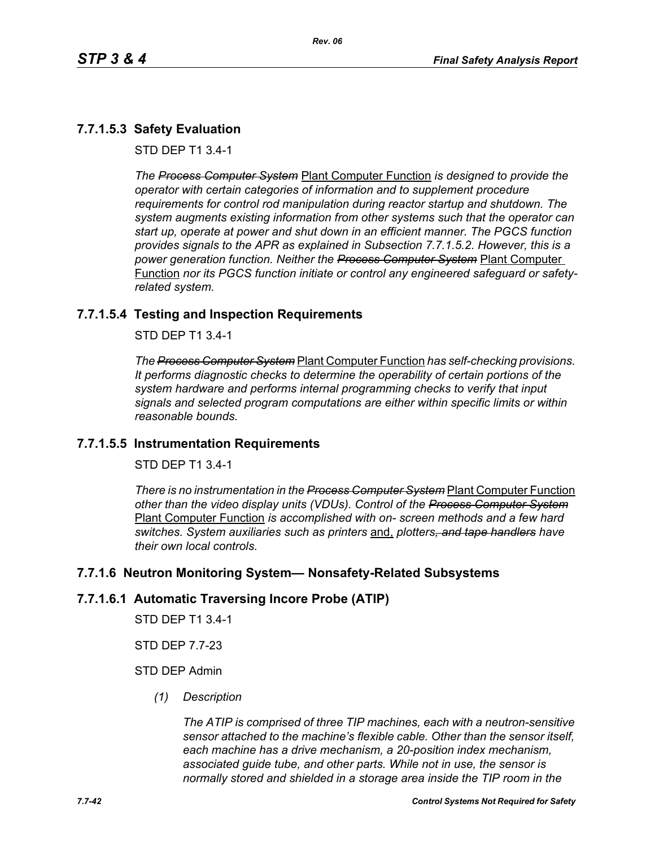# **7.7.1.5.3 Safety Evaluation**

STD DEP T1 3.4-1

*The Process Computer System* Plant Computer Function *is designed to provide the operator with certain categories of information and to supplement procedure requirements for control rod manipulation during reactor startup and shutdown. The system augments existing information from other systems such that the operator can start up, operate at power and shut down in an efficient manner. The PGCS function provides signals to the APR as explained in Subsection 7.7.1.5.2. However, this is a power generation function. Neither the Process Computer System* Plant Computer Function *nor its PGCS function initiate or control any engineered safeguard or safetyrelated system.*

# **7.7.1.5.4 Testing and Inspection Requirements**

STD DEP T1 3.4-1

*The Process Computer System* Plant Computer Function *has self-checking provisions. It performs diagnostic checks to determine the operability of certain portions of the system hardware and performs internal programming checks to verify that input signals and selected program computations are either within specific limits or within reasonable bounds.*

# **7.7.1.5.5 Instrumentation Requirements**

STD DEP T1 3.4-1

*There is no instrumentation in the Process Computer System* Plant Computer Function *other than the video display units (VDUs). Control of the Process Computer System* Plant Computer Function *is accomplished with on- screen methods and a few hard switches. System auxiliaries such as printers* and, *plotters, and tape handlers have their own local controls.*

# **7.7.1.6 Neutron Monitoring System— Nonsafety-Related Subsystems**

### **7.7.1.6.1 Automatic Traversing Incore Probe (ATIP)**

STD DEP T1 3.4-1

STD DEP 7.7-23

### STD DEP Admin

*(1) Description*

*The ATIP is comprised of three TIP machines, each with a neutron-sensitive sensor attached to the machine's flexible cable. Other than the sensor itself, each machine has a drive mechanism, a 20-position index mechanism, associated guide tube, and other parts. While not in use, the sensor is normally stored and shielded in a storage area inside the TIP room in the*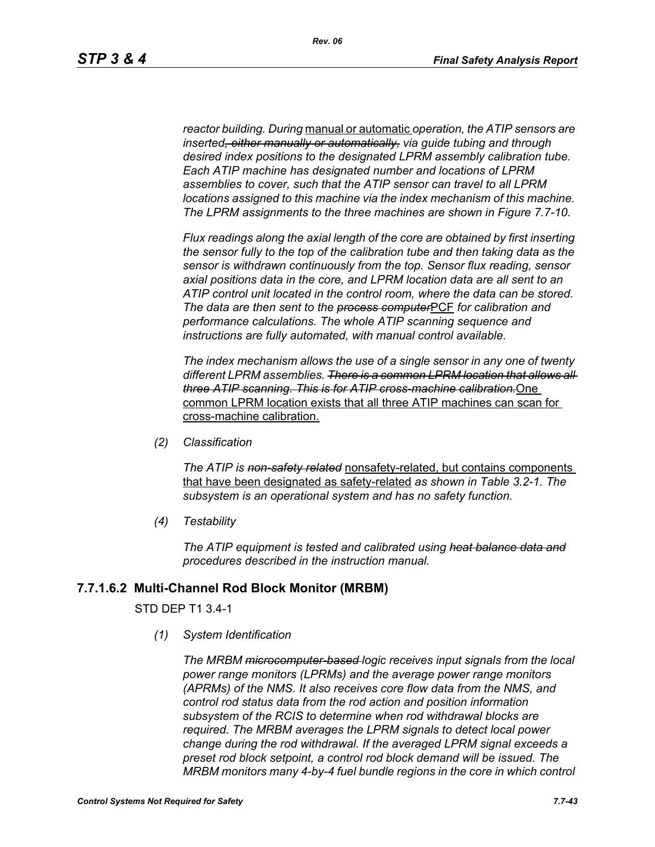*reactor building. During* manual or automatic *operation, the ATIP sensors are inserted, either manually or automatically, via guide tubing and through desired index positions to the designated LPRM assembly calibration tube. Each ATIP machine has designated number and locations of LPRM assemblies to cover, such that the ATIP sensor can travel to all LPRM locations assigned to this machine via the index mechanism of this machine. The LPRM assignments to the three machines are shown in Figure 7.7-10.*

*Flux readings along the axial length of the core are obtained by first inserting the sensor fully to the top of the calibration tube and then taking data as the sensor is withdrawn continuously from the top. Sensor flux reading, sensor axial positions data in the core, and LPRM location data are all sent to an ATIP control unit located in the control room, where the data can be stored. The data are then sent to the process computer*PCF *for calibration and performance calculations. The whole ATIP scanning sequence and instructions are fully automated, with manual control available.*

*The index mechanism allows the use of a single sensor in any one of twenty different LPRM assemblies. There is a common LPRM location that allows all three ATIP scanning. This is for ATIP cross-machine calibration.*One common LPRM location exists that all three ATIP machines can scan for cross-machine calibration.

*(2) Classification*

*The ATIP is non-safety related* nonsafety-related, but contains components that have been designated as safety-related *as shown in Table 3.2-1. The subsystem is an operational system and has no safety function.*

*(4) Testability*

*The ATIP equipment is tested and calibrated using heat balance data and procedures described in the instruction manual.*

#### **7.7.1.6.2 Multi-Channel Rod Block Monitor (MRBM)**

### STD DEP T1 3.4-1

*(1) System Identification*

*The MRBM microcomputer-based logic receives input signals from the local power range monitors (LPRMs) and the average power range monitors (APRMs) of the NMS. It also receives core flow data from the NMS, and control rod status data from the rod action and position information subsystem of the RCIS to determine when rod withdrawal blocks are required. The MRBM averages the LPRM signals to detect local power change during the rod withdrawal. If the averaged LPRM signal exceeds a preset rod block setpoint, a control rod block demand will be issued. The MRBM monitors many 4-by-4 fuel bundle regions in the core in which control*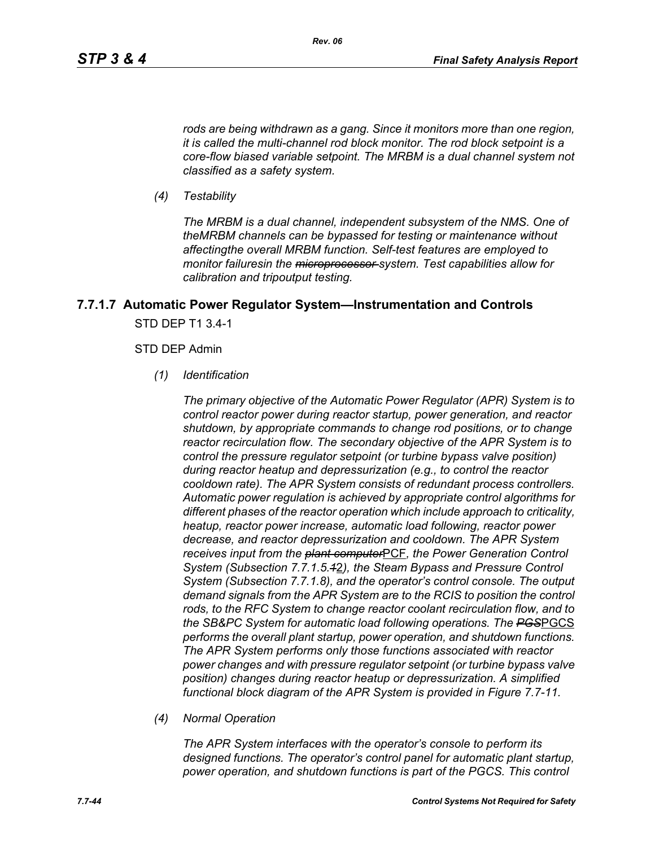*rods are being withdrawn as a gang. Since it monitors more than one region, it is called the multi-channel rod block monitor. The rod block setpoint is a core-flow biased variable setpoint. The MRBM is a dual channel system not classified as a safety system.*

*(4) Testability*

*The MRBM is a dual channel, independent subsystem of the NMS. One of theMRBM channels can be bypassed for testing or maintenance without affectingthe overall MRBM function. Self-test features are employed to monitor failuresin the microprocessor system. Test capabilities allow for calibration and tripoutput testing.*

# **7.7.1.7 Automatic Power Regulator System—Instrumentation and Controls** STD DEP T1 3.4-1

#### STD DEP Admin

*(1) Identification*

*The primary objective of the Automatic Power Regulator (APR) System is to control reactor power during reactor startup, power generation, and reactor shutdown, by appropriate commands to change rod positions, or to change reactor recirculation flow. The secondary objective of the APR System is to control the pressure regulator setpoint (or turbine bypass valve position) during reactor heatup and depressurization (e.g., to control the reactor cooldown rate). The APR System consists of redundant process controllers. Automatic power regulation is achieved by appropriate control algorithms for different phases of the reactor operation which include approach to criticality, heatup, reactor power increase, automatic load following, reactor power decrease, and reactor depressurization and cooldown. The APR System receives input from the plant computer*PCF*, the Power Generation Control System (Subsection 7.7.1.5.1*2*), the Steam Bypass and Pressure Control System (Subsection 7.7.1.8), and the operator's control console. The output demand signals from the APR System are to the RCIS to position the control rods, to the RFC System to change reactor coolant recirculation flow, and to the SB&PC System for automatic load following operations. The PGS*PGCS *performs the overall plant startup, power operation, and shutdown functions. The APR System performs only those functions associated with reactor power changes and with pressure regulator setpoint (or turbine bypass valve position) changes during reactor heatup or depressurization. A simplified functional block diagram of the APR System is provided in Figure 7.7-11.*

*(4) Normal Operation*

*The APR System interfaces with the operator's console to perform its designed functions. The operator's control panel for automatic plant startup, power operation, and shutdown functions is part of the PGCS. This control*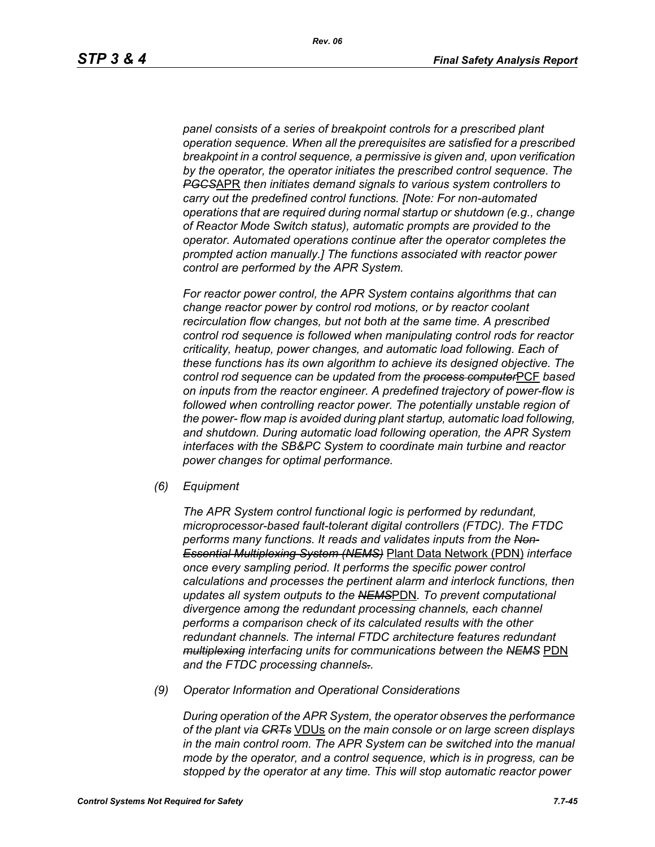*panel consists of a series of breakpoint controls for a prescribed plant operation sequence. When all the prerequisites are satisfied for a prescribed breakpoint in a control sequence, a permissive is given and, upon verification by the operator, the operator initiates the prescribed control sequence. The PGCS*APR *then initiates demand signals to various system controllers to carry out the predefined control functions. [Note: For non-automated operations that are required during normal startup or shutdown (e.g., change of Reactor Mode Switch status), automatic prompts are provided to the operator. Automated operations continue after the operator completes the prompted action manually.] The functions associated with reactor power control are performed by the APR System.*

*For reactor power control, the APR System contains algorithms that can change reactor power by control rod motions, or by reactor coolant recirculation flow changes, but not both at the same time. A prescribed control rod sequence is followed when manipulating control rods for reactor criticality, heatup, power changes, and automatic load following. Each of these functions has its own algorithm to achieve its designed objective. The control rod sequence can be updated from the process computer*PCF *based on inputs from the reactor engineer. A predefined trajectory of power-flow is followed when controlling reactor power. The potentially unstable region of the power- flow map is avoided during plant startup, automatic load following, and shutdown. During automatic load following operation, the APR System interfaces with the SB&PC System to coordinate main turbine and reactor power changes for optimal performance.*

*(6) Equipment*

*The APR System control functional logic is performed by redundant, microprocessor-based fault-tolerant digital controllers (FTDC). The FTDC performs many functions. It reads and validates inputs from the Non-Essential Multiplexing System (NEMS)* Plant Data Network (PDN) *interface once every sampling period. It performs the specific power control calculations and processes the pertinent alarm and interlock functions, then updates all system outputs to the NEMS*PDN*. To prevent computational divergence among the redundant processing channels, each channel performs a comparison check of its calculated results with the other redundant channels. The internal FTDC architecture features redundant multiplexing interfacing units for communications between the NEMS* PDN *and the FTDC processing channels..*

*(9) Operator Information and Operational Considerations*

*During operation of the APR System, the operator observes the performance of the plant via CRTs* VDUs *on the main console or on large screen displays in the main control room. The APR System can be switched into the manual mode by the operator, and a control sequence, which is in progress, can be stopped by the operator at any time. This will stop automatic reactor power*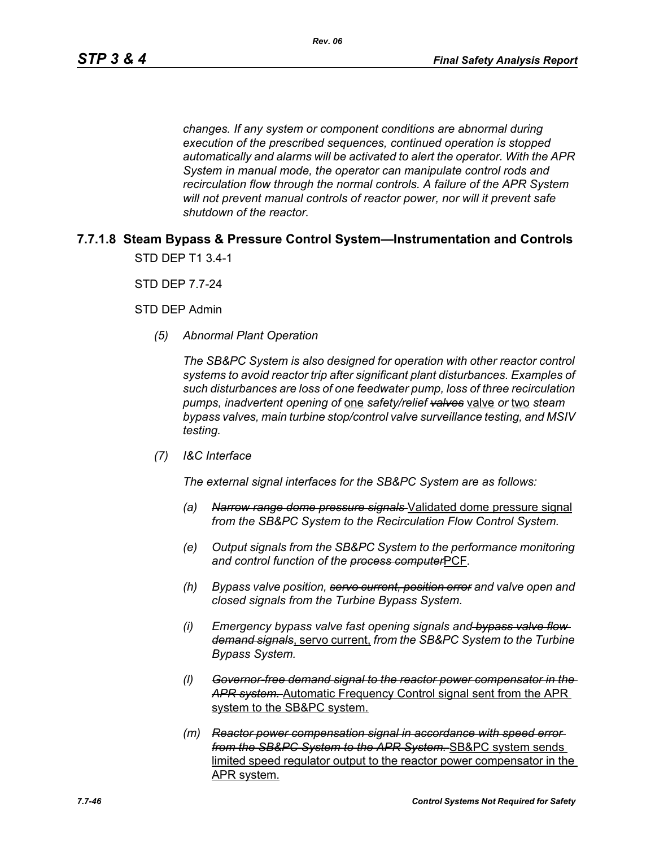*changes. If any system or component conditions are abnormal during execution of the prescribed sequences, continued operation is stopped automatically and alarms will be activated to alert the operator. With the APR System in manual mode, the operator can manipulate control rods and recirculation flow through the normal controls. A failure of the APR System will not prevent manual controls of reactor power, nor will it prevent safe shutdown of the reactor.*

# **7.7.1.8 Steam Bypass & Pressure Control System—Instrumentation and Controls** STD DEP T1 3.4-1

STD DEP 7.7-24

STD DEP Admin

*(5) Abnormal Plant Operation*

*The SB&PC System is also designed for operation with other reactor control systems to avoid reactor trip after significant plant disturbances. Examples of such disturbances are loss of one feedwater pump, loss of three recirculation pumps, inadvertent opening of* one *safety/relief valves* valve *or* two *steam bypass valves, main turbine stop/control valve surveillance testing, and MSIV testing.*

*(7) I&C Interface*

*The external signal interfaces for the SB&PC System are as follows:*

- *(a) Narrow range dome pressure signals* Validated dome pressure signal *from the SB&PC System to the Recirculation Flow Control System.*
- *(e) Output signals from the SB&PC System to the performance monitoring and control function of the process computer*PCF*.*
- *(h) Bypass valve position, servo current, position error and valve open and closed signals from the Turbine Bypass System.*
- *(i) Emergency bypass valve fast opening signals and bypass valve flow demand signals*, servo current, *from the SB&PC System to the Turbine Bypass System.*
- *(l) Governor-free demand signal to the reactor power compensator in the APR system.* Automatic Frequency Control signal sent from the APR system to the SB&PC system.
- *(m) Reactor power compensation signal in accordance with speed error from the SB&PC System to the APR System.* SB&PC system sends limited speed regulator output to the reactor power compensator in the APR system.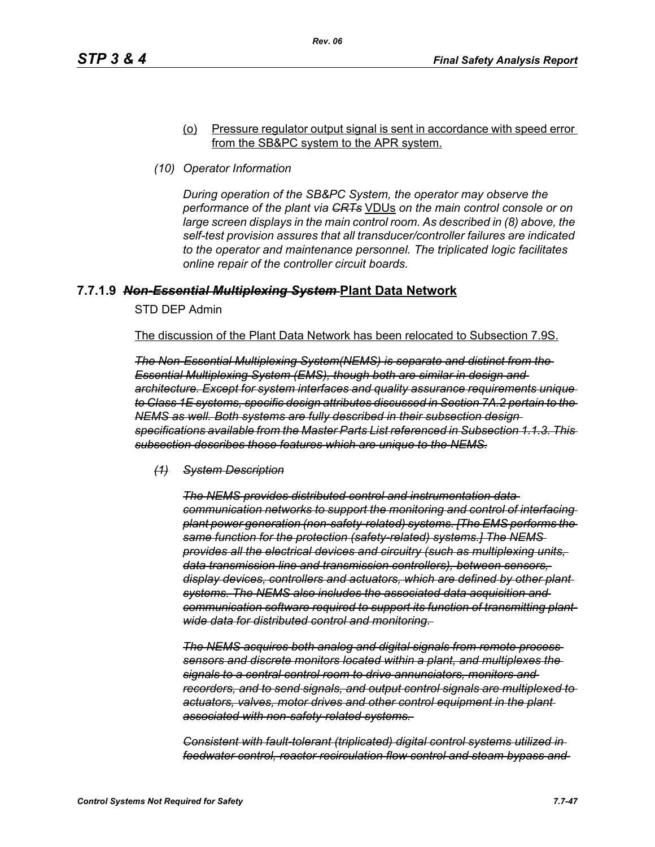### (o) Pressure regulator output signal is sent in accordance with speed error from the SB&PC system to the APR system.

*(10) Operator Information*

*During operation of the SB&PC System, the operator may observe the performance of the plant via CRTs* VDUs *on the main control console or on large screen displays in the main control room. As described in (8) above, the self-test provision assures that all transducer/controller failures are indicated to the operator and maintenance personnel. The triplicated logic facilitates online repair of the controller circuit boards.*

# **7.7.1.9** *Non-Essential Multiplexing System* **Plant Data Network**

STD DEP Admin

The discussion of the Plant Data Network has been relocated to Subsection 7.9S.

*The Non-Essential Multiplexing System(NEMS) is separate and distinct from the Essential Multiplexing System (EMS), though both are similar in design and architecture. Except for system interfaces and quality assurance requirements unique to Class 1E systems, specific design attributes discussed in Section 7A.2 pertain to the NEMS as well. Both systems are fully described in their subsection design specifications available from the Master Parts List referenced in Subsection 1.1.3. This subsection describes those features which are unique to the NEMS.*

*(1) System Description*

*The NEMS provides distributed control and instrumentation data communication networks to support the monitoring and control of interfacing plant power generation (non-safety-related) systems. [The EMS performs the same function for the protection (safety-related) systems.] The NEMS provides all the electrical devices and circuitry (such as multiplexing units, data transmission line and transmission controllers), between sensors, display devices, controllers and actuators, which are defined by other plant systems. The NEMS also includes the associated data acquisition and communication software required to support its function of transmitting plantwide data for distributed control and monitoring.* 

*The NEMS acquires both analog and digital signals from remote process sensors and discrete monitors located within a plant, and multiplexes the signals to a central control room to drive annunciators, monitors and recorders, and to send signals, and output control signals are multiplexed to actuators, valves, motor drives and other control equipment in the plant associated with non-safety-related systems.* 

*Consistent with fault-tolerant (triplicated) digital control systems utilized in feedwater control, reactor recirculation flow control and steam bypass and*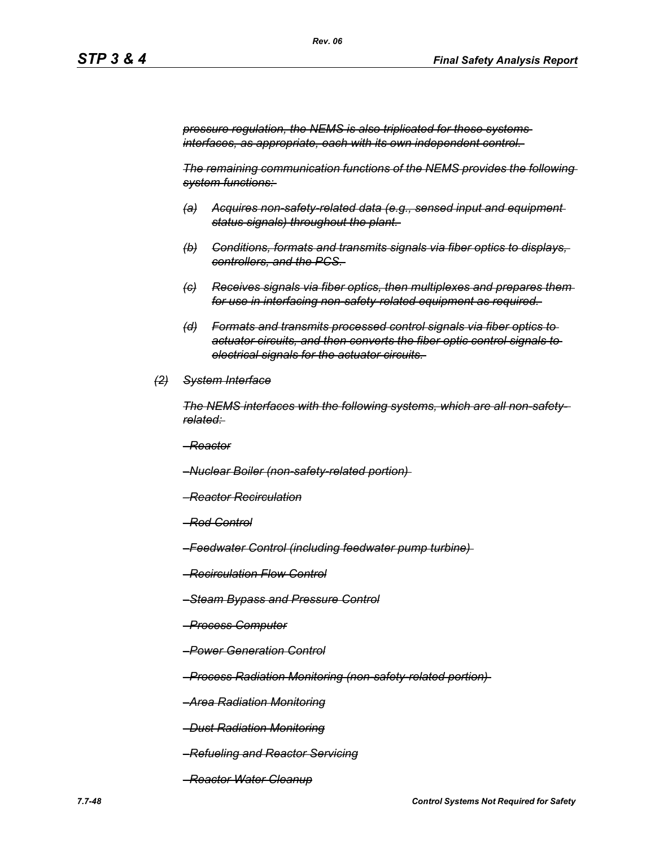*pressure regulation, the NEMS is also triplicated for these systems interfaces, as appropriate, each with its own independent control.* 

*The remaining communication functions of the NEMS provides the following system functions:* 

- *(a) Acquires non-safety-related data (e.g., sensed input and equipment status signals) throughout the plant.*
- *(b) Conditions, formats and transmits signals via fiber optics to displays, controllers, and the PCS.*
- *(c) Receives signals via fiber optics, then multiplexes and prepares them for use in interfacing non-safety-related equipment as required.*
- *(d) Formats and transmits processed control signals via fiber optics to actuator circuits, and then converts the fiber optic control signals to electrical signals for the actuator circuits.*
- *(2) System Interface*

*The NEMS interfaces with the following systems, which are all non-safetyrelated:* 

*–Reactor*

*–Nuclear Boiler (non-safety-related portion)* 

- *–Reactor Recirculation*
- *–Rod Control*
- *–Feedwater Control (including feedwater pump turbine)*
- *–Recirculation Flow Control*
- *–Steam Bypass and Pressure Control*
- *–Process Computer*
- *–Power Generation Control*

*–Process Radiation Monitoring (non-safety-related portion)* 

*–Area Radiation Monitoring*

*–Dust Radiation Monitoring*

- *–Refueling and Reactor Servicing*
- *–Reactor Water Cleanup*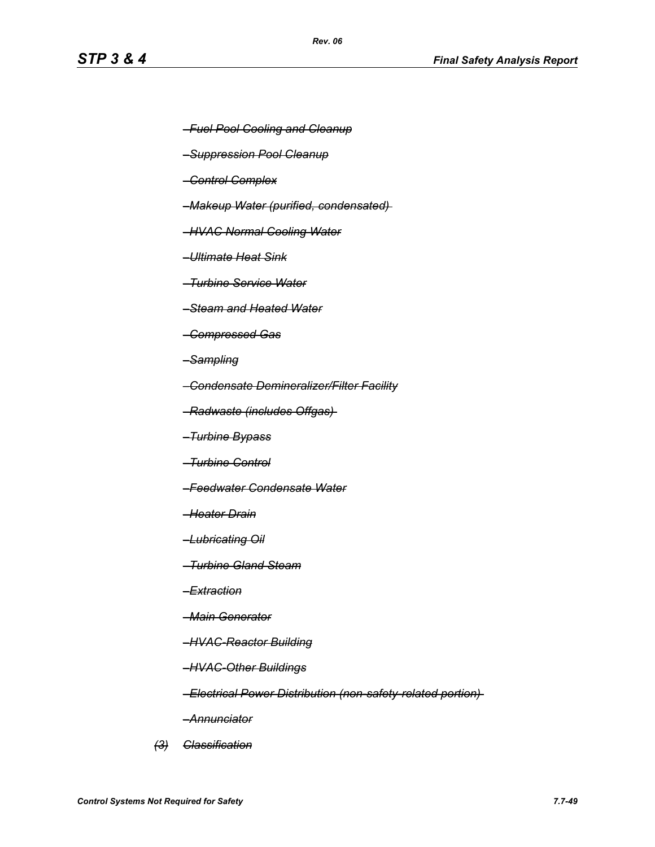- *–Fuel Pool Cooling and Cleanup*
- *–Suppression Pool Cleanup*
- *–Control Complex*
- *–Makeup Water (purified, condensated)*
- *–HVAC Normal Cooling Water*
- *–Ultimate Heat Sink*
- *–Turbine Service Water*
- *–Steam and Heated Water*
- *–Compressed Gas*
- *–Sampling*
- *–Condensate Demineralizer/Filter Facility*
- *–Radwaste (includes Offgas)*
- *–Turbine Bypass*
- *–Turbine Control*
- *–Feedwater Condensate Water*
- *–Heater Drain*
- *–Lubricating Oil*
- *–Turbine Gland Steam*
- *–Extraction*
- *–Main Generator*
- *–HVAC-Reactor Building*
- *–HVAC-Other Buildings*
- *–Electrical Power Distribution (non-safety-related portion)*
- *–Annunciator*
- *(3) Classification*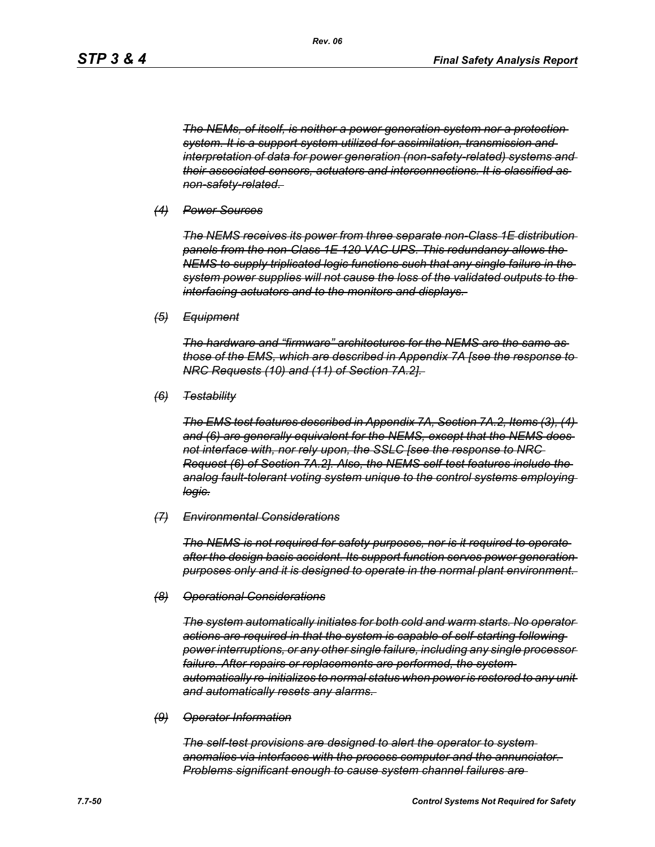*The NEMs, of itself, is neither a power generation system nor a protection system. It is a support system utilized for assimilation, transmission and interpretation of data for power generation (non-safety-related) systems and their associated sensors, actuators and interconnections. It is classified as non-safety-related.* 

#### *(4) Power Sources*

*The NEMS receives its power from three separate non-Class 1E distribution panels from the non-Class 1E 120 VAC UPS. This redundancy allows the NEMS to supply triplicated logic functions such that any single failure in the system power supplies will not cause the loss of the validated outputs to the interfacing actuators and to the monitors and displays.* 

*(5) Equipment*

*The hardware and "firmware" architectures for the NEMS are the same as those of the EMS, which are described in Appendix 7A [see the response to NRC Requests (10) and (11) of Section 7A.2].* 

*(6) Testability*

*The EMS test features described in Appendix 7A, Section 7A.2, Items (3), (4) and (6) are generally equivalent for the NEMS, except that the NEMS does not interface with, nor rely upon, the SSLC [see the response to NRC Request (6) of Section 7A.2]. Also, the NEMS self-test features include the analog fault-tolerant voting system unique to the control systems employing logic.*

#### *(7) Environmental Considerations*

*The NEMS is not required for safety purposes, nor is it required to operate after the design basis accident. Its support function serves power generation purposes only and it is designed to operate in the normal plant environment.* 

#### *(8) Operational Considerations*

*The system automatically initiates for both cold and warm starts. No operator actions are required in that the system is capable of self-starting following power interruptions, or any other single failure, including any single processor failure. After repairs or replacements are performed, the system automatically re-initializes to normal status when power is restored to any unit and automatically resets any alarms.* 

#### *(9) Operator Information*

*The self-test provisions are designed to alert the operator to system anomalies via interfaces with the process computer and the annunciator. Problems significant enough to cause system channel failures are*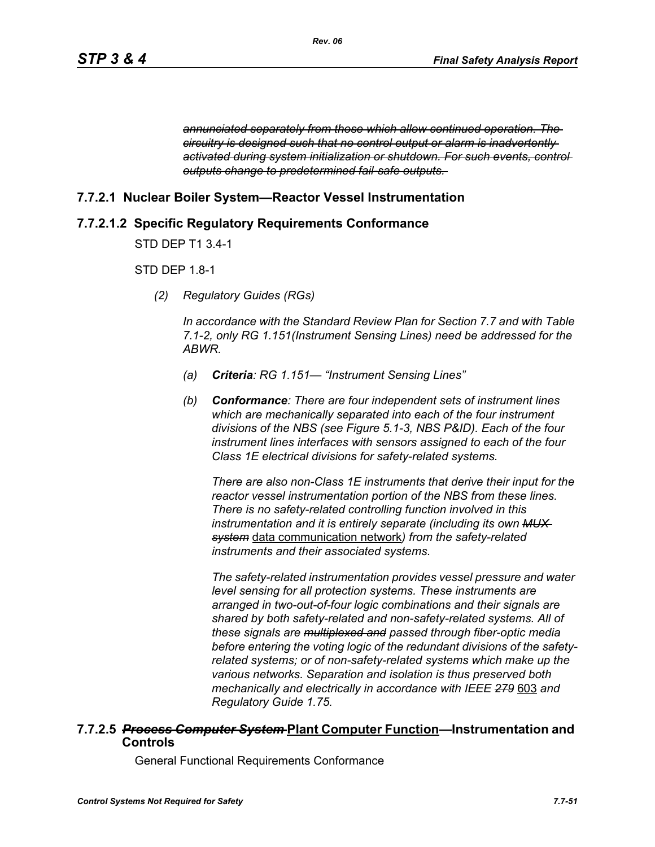*annunciated separately from those which allow continued operation. The circuitry is designed such that no control output or alarm is inadvertently activated during system initialization or shutdown. For such events, control outputs change to predetermined fail-safe outputs.* 

# **7.7.2.1 Nuclear Boiler System—Reactor Vessel Instrumentation**

# **7.7.2.1.2 Specific Regulatory Requirements Conformance**

STD DEP T1 3.4-1

# STD DEP 1.8-1

*(2) Regulatory Guides (RGs)*

*In accordance with the Standard Review Plan for Section 7.7 and with Table 7.1-2, only RG 1.151(Instrument Sensing Lines) need be addressed for the ABWR.*

- *(a) Criteria: RG 1.151— "Instrument Sensing Lines"*
- *(b) Conformance: There are four independent sets of instrument lines which are mechanically separated into each of the four instrument divisions of the NBS (see Figure 5.1-3, NBS P&ID). Each of the four instrument lines interfaces with sensors assigned to each of the four Class 1E electrical divisions for safety-related systems.*

*There are also non-Class 1E instruments that derive their input for the reactor vessel instrumentation portion of the NBS from these lines. There is no safety-related controlling function involved in this instrumentation and it is entirely separate (including its own MUX system* data communication network*) from the safety-related instruments and their associated systems.*

*The safety-related instrumentation provides vessel pressure and water level sensing for all protection systems. These instruments are arranged in two-out-of-four logic combinations and their signals are shared by both safety-related and non-safety-related systems. All of these signals are multiplexed and passed through fiber-optic media before entering the voting logic of the redundant divisions of the safetyrelated systems; or of non-safety-related systems which make up the various networks. Separation and isolation is thus preserved both mechanically and electrically in accordance with IEEE 279* 603 *and Regulatory Guide 1.75.*

### **7.7.2.5** *Process Computer System* **Plant Computer Function—Instrumentation and Controls**

General Functional Requirements Conformance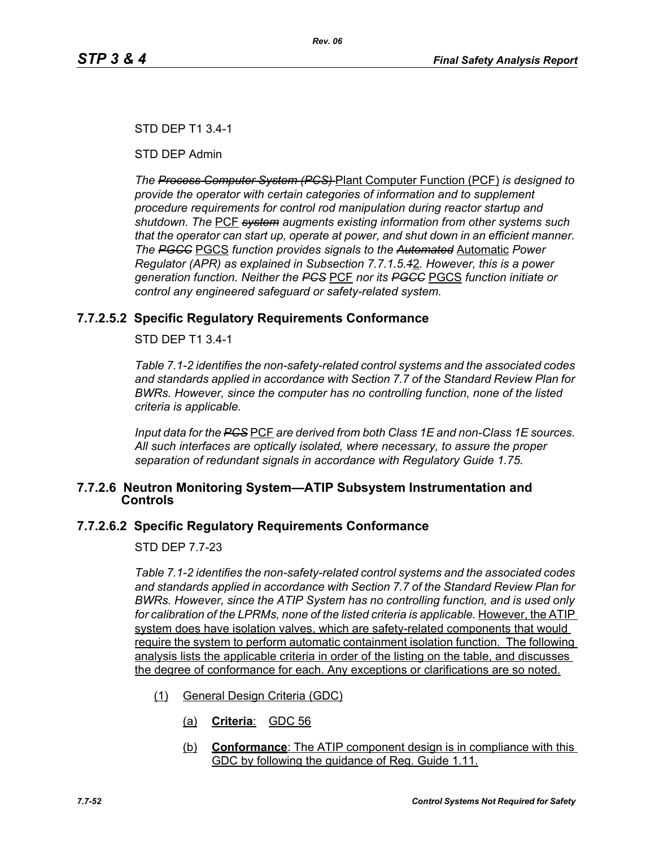# STD DEP T1 3.4-1

STD DEP Admin

*The Process Computer System (PCS)* Plant Computer Function (PCF) *is designed to provide the operator with certain categories of information and to supplement procedure requirements for control rod manipulation during reactor startup and shutdown. The* PCF *system augments existing information from other systems such that the operator can start up, operate at power, and shut down in an efficient manner. The PGCC* PGCS *function provides signals to the Automated* Automatic *Power Regulator (APR) as explained in Subsection 7.7.1.5.1*2*. However, this is a power generation function. Neither the PCS* PCF *nor its PGCC* PGCS *function initiate or control any engineered safeguard or safety-related system.*

# **7.7.2.5.2 Specific Regulatory Requirements Conformance**

STD DEP T1 3.4-1

*Table 7.1-2 identifies the non-safety-related control systems and the associated codes and standards applied in accordance with Section 7.7 of the Standard Review Plan for BWRs. However, since the computer has no controlling function, none of the listed criteria is applicable.*

*Input data for the PCS* PCF *are derived from both Class 1E and non-Class 1E sources. All such interfaces are optically isolated, where necessary, to assure the proper separation of redundant signals in accordance with Regulatory Guide 1.75.*

# **7.7.2.6 Neutron Monitoring System—ATIP Subsystem Instrumentation and Controls**

# **7.7.2.6.2 Specific Regulatory Requirements Conformance**

STD DEP 7.7-23

*Table 7.1-2 identifies the non-safety-related control systems and the associated codes and standards applied in accordance with Section 7.7 of the Standard Review Plan for BWRs. However, since the ATIP System has no controlling function, and is used only*  for calibration of the LPRMs, none of the listed criteria is applicable. However, the ATIP system does have isolation valves, which are safety-related components that would require the system to perform automatic containment isolation function. The following analysis lists the applicable criteria in order of the listing on the table, and discusses the degree of conformance for each. Any exceptions or clarifications are so noted.

- (1) General Design Criteria (GDC)
	- (a) **Criteria**: GDC 56
	- (b) **Conformance**: The ATIP component design is in compliance with this GDC by following the guidance of Reg. Guide 1.11.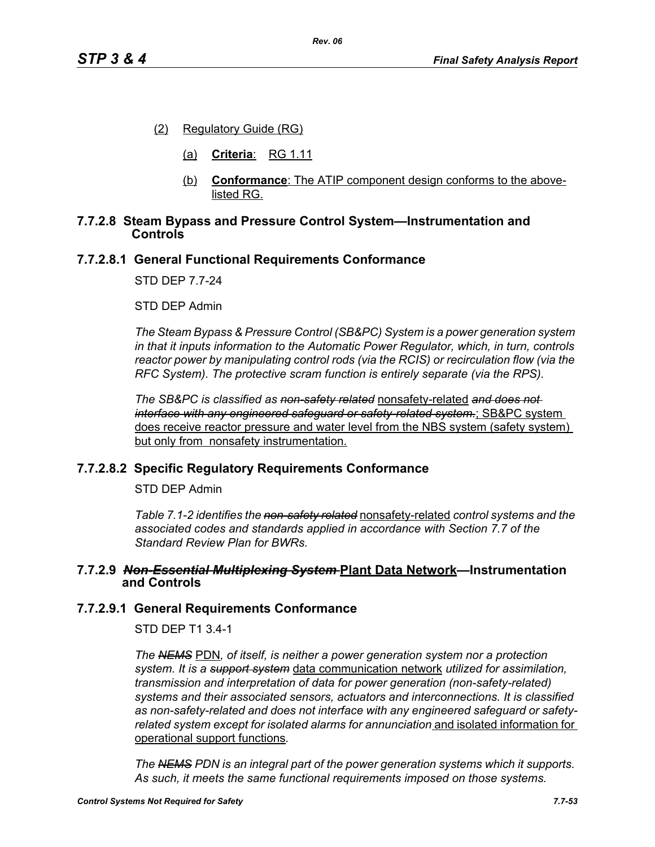- (2) Regulatory Guide (RG)
	- (a) **Criteria**: RG 1.11
	- (b) **Conformance**: The ATIP component design conforms to the abovelisted RG.

### **7.7.2.8 Steam Bypass and Pressure Control System—Instrumentation and Controls**

### **7.7.2.8.1 General Functional Requirements Conformance**

STD DEP 7.7-24

STD DEP Admin

*The Steam Bypass & Pressure Control (SB&PC) System is a power generation system in that it inputs information to the Automatic Power Regulator, which, in turn, controls reactor power by manipulating control rods (via the RCIS) or recirculation flow (via the RFC System). The protective scram function is entirely separate (via the RPS).*

*The SB&PC is classified as non-safety related* nonsafety-related *and does not interface with any engineered safeguard or safety-related system.*; SB&PC system does receive reactor pressure and water level from the NBS system (safety system) but only from nonsafety instrumentation.

#### **7.7.2.8.2 Specific Regulatory Requirements Conformance**

STD DEP Admin

*Table 7.1-2 identifies the non-safety related* nonsafety-related *control systems and the associated codes and standards applied in accordance with Section 7.7 of the Standard Review Plan for BWRs.* 

#### **7.7.2.9** *Non-Essential Multiplexing System* **Plant Data Network—Instrumentation and Controls**

#### **7.7.2.9.1 General Requirements Conformance**

STD DEP T1 3.4-1

*The NEMS* PDN*, of itself, is neither a power generation system nor a protection system. It is a support system* data communication network *utilized for assimilation, transmission and interpretation of data for power generation (non-safety-related) systems and their associated sensors, actuators and interconnections. It is classified as non-safety-related and does not interface with any engineered safeguard or safetyrelated system except for isolated alarms for annunciation* and isolated information for operational support functions*.*

*The NEMS PDN is an integral part of the power generation systems which it supports. As such, it meets the same functional requirements imposed on those systems.*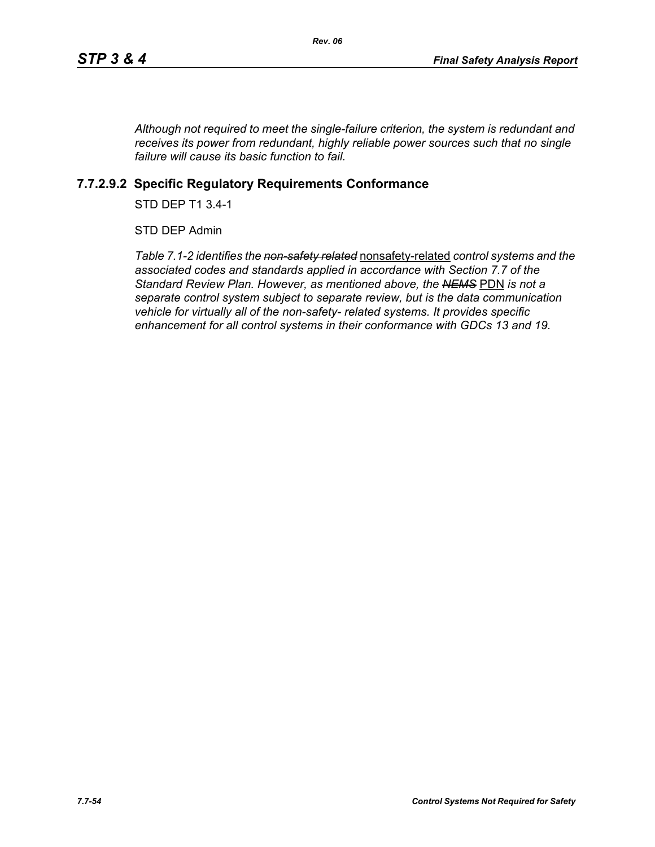*Although not required to meet the single-failure criterion, the system is redundant and receives its power from redundant, highly reliable power sources such that no single failure will cause its basic function to fail.*

# **7.7.2.9.2 Specific Regulatory Requirements Conformance**

STD DEP T1 3.4-1

STD DEP Admin

*Table 7.1-2 identifies the non-safety related* nonsafety-related *control systems and the associated codes and standards applied in accordance with Section 7.7 of the Standard Review Plan. However, as mentioned above, the NEMS* PDN *is not a separate control system subject to separate review, but is the data communication vehicle for virtually all of the non-safety- related systems. It provides specific enhancement for all control systems in their conformance with GDCs 13 and 19.*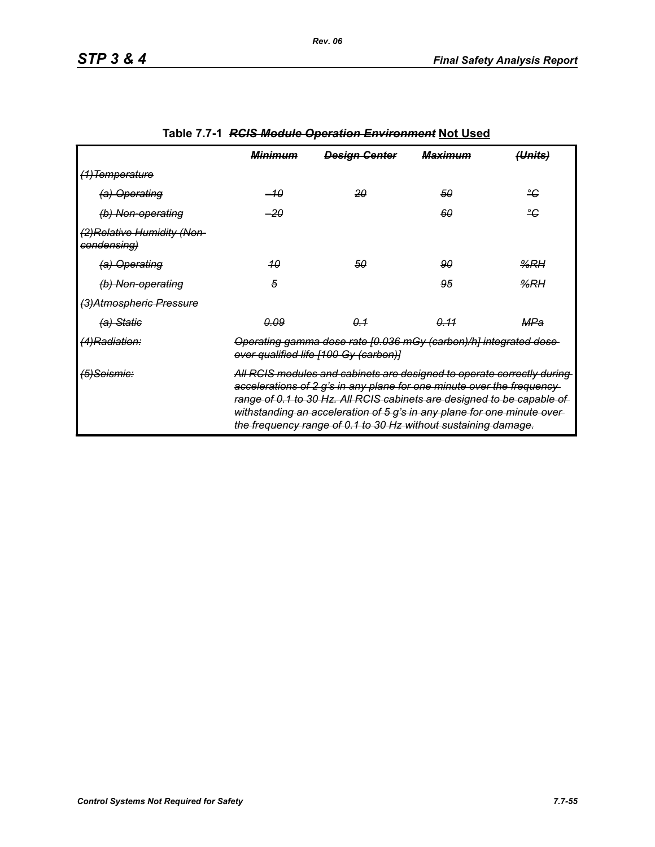|                                            | <del>Minimum</del>                                                                                                                                                                                                                                                                                                                                                      | <b>Design Genter</b> | <del>Maximum</del> | <del>(Units)</del> |
|--------------------------------------------|-------------------------------------------------------------------------------------------------------------------------------------------------------------------------------------------------------------------------------------------------------------------------------------------------------------------------------------------------------------------------|----------------------|--------------------|--------------------|
| <del>(1)Temperature</del>                  |                                                                                                                                                                                                                                                                                                                                                                         |                      |                    |                    |
| (a) Operating                              | –10                                                                                                                                                                                                                                                                                                                                                                     | 20                   | 50                 | ீ                  |
| (b) Non-operating                          | $-20$                                                                                                                                                                                                                                                                                                                                                                   |                      | 60                 | ீ                  |
| (2) Relative Humidity (Non-<br>condensing) |                                                                                                                                                                                                                                                                                                                                                                         |                      |                    |                    |
| (a) Operating                              | 40                                                                                                                                                                                                                                                                                                                                                                      | 50                   | 90                 | $\frac{9}{6}$ RH   |
| (b) Non-operating                          | 5                                                                                                                                                                                                                                                                                                                                                                       |                      | 95                 | %RH                |
| (3) Atmospheric Pressure                   |                                                                                                                                                                                                                                                                                                                                                                         |                      |                    |                    |
| <del>(a) Static</del>                      | <u>0.09</u>                                                                                                                                                                                                                                                                                                                                                             | 0.1                  | <u>0.11</u>        | MPa                |
| <del>(4)Radiation:</del>                   | Operating gamma dose rate [0.036 mGy (carbon)/h] integrated dose-<br>over qualified life [100 Gy (carbon)]                                                                                                                                                                                                                                                              |                      |                    |                    |
| <del>(5)Seismic:</del>                     | All RCIS modules and cabinets are designed to operate correctly during<br>accelerations of 2 g's in any plane for one minute over the frequency-<br>range of 0.1 to 30 Hz. All RCIS cabinets are designed to be capable of<br>withstanding an acceleration of 5 g's in any plane for one minute over-<br>the frequency range of 0.1 to 30 Hz without sustaining damage. |                      |                    |                    |

# **Table 7.7-1** *RCIS Module Operation Environment* **Not Used**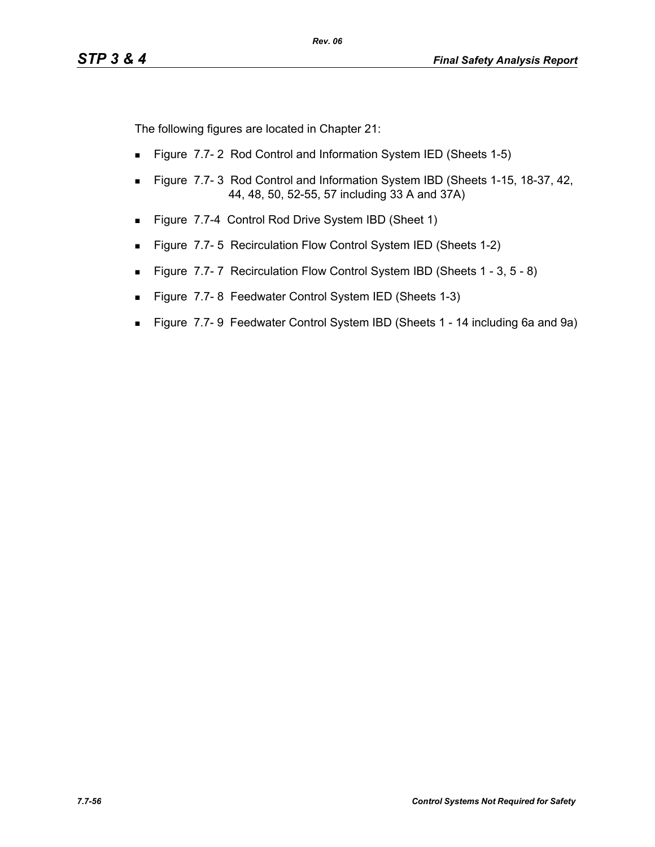The following figures are located in Chapter 21:

- **Figure 7.7-2 Rod Control and Information System IED (Sheets 1-5)**
- **Figure 7.7-3 Rod Control and Information System IBD (Sheets 1-15, 18-37, 42, 40)** 44, 48, 50, 52-55, 57 including 33 A and 37A)
- Figure 7.7-4 Control Rod Drive System IBD (Sheet 1)
- **Figure 7.7-5 Recirculation Flow Control System IED (Sheets 1-2)**
- Figure 7.7-7 Recirculation Flow Control System IBD (Sheets 1 3, 5 8)
- Figure 7.7-8 Feedwater Control System IED (Sheets 1-3)
- Figure 7.7- 9 Feedwater Control System IBD (Sheets 1 14 including 6a and 9a)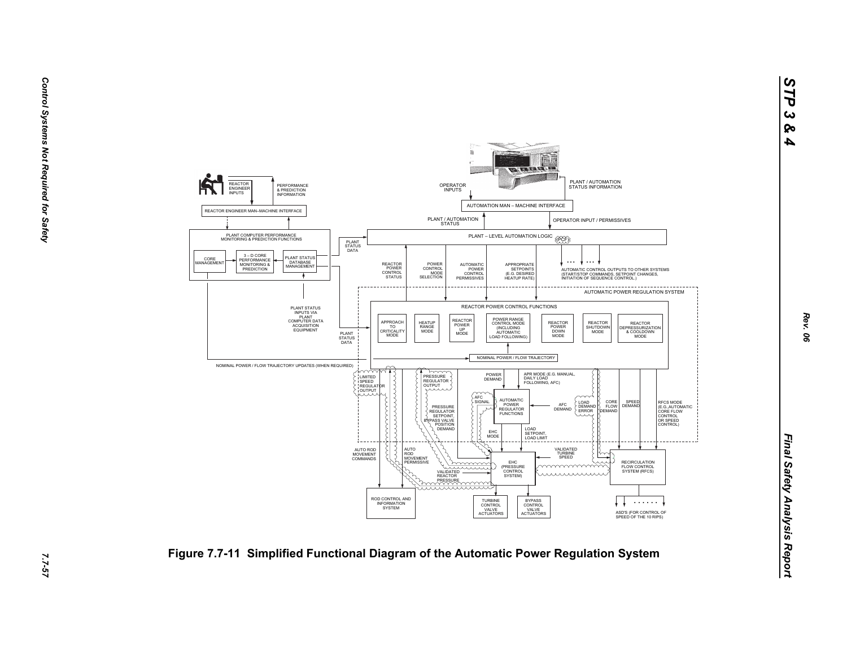

*Rev. 06*

*STP 3 & 4*